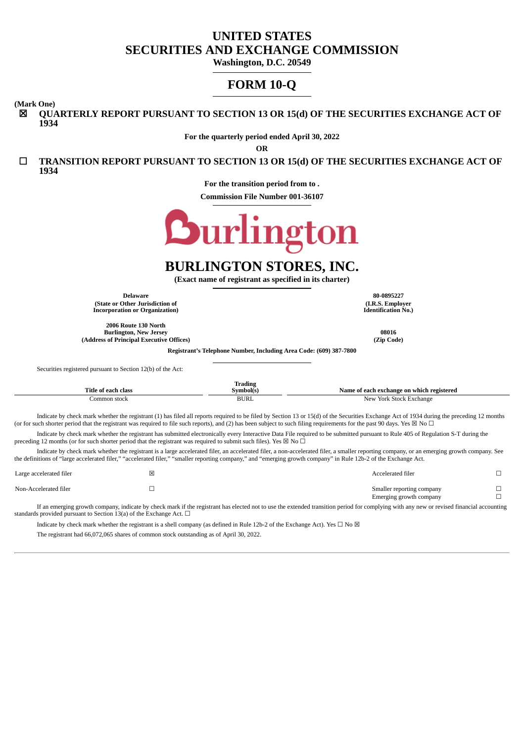# **UNITED STATES SECURITIES AND EXCHANGE COMMISSION**

**Washington, D.C. 20549**

# **FORM 10-Q**

**(Mark One)**

☒ **QUARTERLY REPORT PURSUANT TO SECTION 13 OR 15(d) OF THE SECURITIES EXCHANGE ACT OF 1934**

**For the quarterly period ended April 30, 2022**

**OR**

☐ **TRANSITION REPORT PURSUANT TO SECTION 13 OR 15(d) OF THE SECURITIES EXCHANGE ACT OF 1934**

**For the transition period from to .**

**Commission File Number 001-36107**



## **BURLINGTON STORES, INC.**

**(Exact name of registrant as specified in its charter)**

**Delaware 80-0895227 (State or Other Jurisdiction of Incorporation or Organization)**

**(I.R.S. Employer Identification No.)**

**2006 Route 130 North Burlington, New Jersey 08016 (Address of Principal Executive Offices) (Zip Code)**

**Registrant's Telephone Number, Including Area Code: (609) 387-7800**

Securities registered pursuant to Section 12(b) of the Act:

| Title,<br>t each class | $\sim$<br>frading<br>Symbol(s. | Name of each exchange on which registered |
|------------------------|--------------------------------|-------------------------------------------|
| ommon stock            | <b>BURL</b>                    | :hange<br><b>New</b><br>stock<br>∵Y∩rk .  |
|                        |                                |                                           |

Indicate by check mark whether the registrant (1) has filed all reports required to be filed by Section 13 or 15(d) of the Securities Exchange Act of 1934 during the preceding 12 months (or for such shorter period that the registrant was required to file such reports), and (2) has been subject to such filing requirements for the past 90 days. Yes  $\boxtimes$  No  $\Box$ 

Indicate by check mark whether the registrant has submitted electronically every Interactive Data File required to be submitted pursuant to Rule 405 of Regulation S-T during the preceding 12 months (or for such shorter period that the registrant was required to submit such files). Yes  $\boxtimes$  No  $\dot\Box$ 

Indicate by check mark whether the registrant is a large accelerated filer, an accelerated filer, a non-accelerated filer, a smaller reporting company, or an emerging growth company. See the definitions of "large accelerated filer," "accelerated filer," "smaller reporting company," and "emerging growth company" in Rule 12b-2 of the Exchange Act.

| Large accelerated filer |            | Accelerated filer                                    |                                           |
|-------------------------|------------|------------------------------------------------------|-------------------------------------------|
| Non-Accelerated filer   |            | Smaller reporting company<br>Emerging growth company |                                           |
| $ -$                    | .<br>$  -$ | .<br>.<br>. .<br>.                                   | $\sim$ $\sim$ $\sim$ $\sim$ $\sim$ $\sim$ |

If an emerging growth company, indicate by check mark if the registrant has elected not to use the extended transition period for complying with any new or revised financial accounting standards provided pursuant to Section 13(a) of the Exchange Act.  $\Box$ 

Indicate by check mark whether the registrant is a shell company (as defined in Rule 12b-2 of the Exchange Act). Yes  $\Box$  No  $\boxtimes$ The registrant had 66,072,065 shares of common stock outstanding as of April 30, 2022.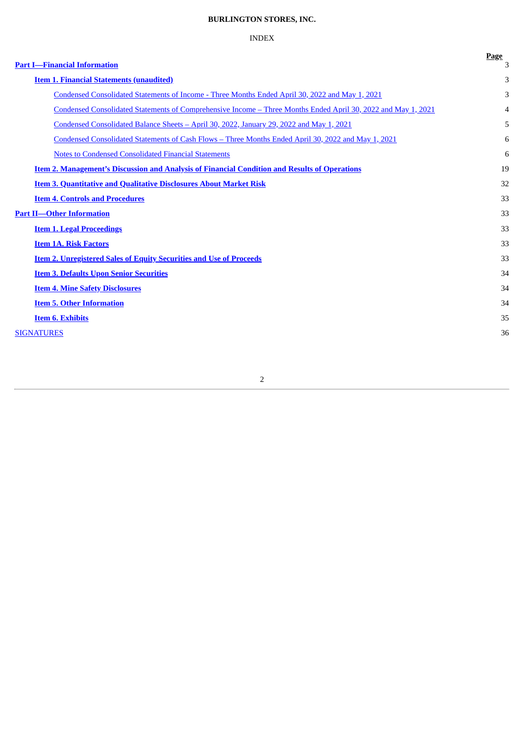## **BURLINGTON STORES, INC.**

## INDEX

| <b>Part I-Financial Information</b>                                                                           | <b>Page</b><br>3 |
|---------------------------------------------------------------------------------------------------------------|------------------|
| <b>Item 1. Financial Statements (unaudited)</b>                                                               | 3                |
| Condensed Consolidated Statements of Income - Three Months Ended April 30, 2022 and May 1, 2021               | 3                |
| Condensed Consolidated Statements of Comprehensive Income - Three Months Ended April 30, 2022 and May 1, 2021 | $\overline{4}$   |
| Condensed Consolidated Balance Sheets - April 30, 2022, January 29, 2022 and May 1, 2021                      | 5                |
| Condensed Consolidated Statements of Cash Flows - Three Months Ended April 30, 2022 and May 1, 2021           | 6                |
| <b>Notes to Condensed Consolidated Financial Statements</b>                                                   | 6                |
| <b>Item 2. Management's Discussion and Analysis of Financial Condition and Results of Operations</b>          | 19               |
| <b>Item 3. Quantitative and Qualitative Disclosures About Market Risk</b>                                     | 32               |
| <b>Item 4. Controls and Procedures</b>                                                                        | 33               |
| <b>Part II-Other Information</b>                                                                              | 33               |
| <b>Item 1. Legal Proceedings</b>                                                                              | 33               |
| <b>Item 1A. Risk Factors</b>                                                                                  | 33               |
| <b>Item 2. Unregistered Sales of Equity Securities and Use of Proceeds</b>                                    | 33               |
| <b>Item 3. Defaults Upon Senior Securities</b>                                                                | 34               |
| <b>Item 4. Mine Safety Disclosures</b>                                                                        | 34               |
| <b>Item 5. Other Information</b>                                                                              | 34               |
| <b>Item 6. Exhibits</b>                                                                                       | 35               |
| <b>SIGNATURES</b>                                                                                             | 36               |
|                                                                                                               |                  |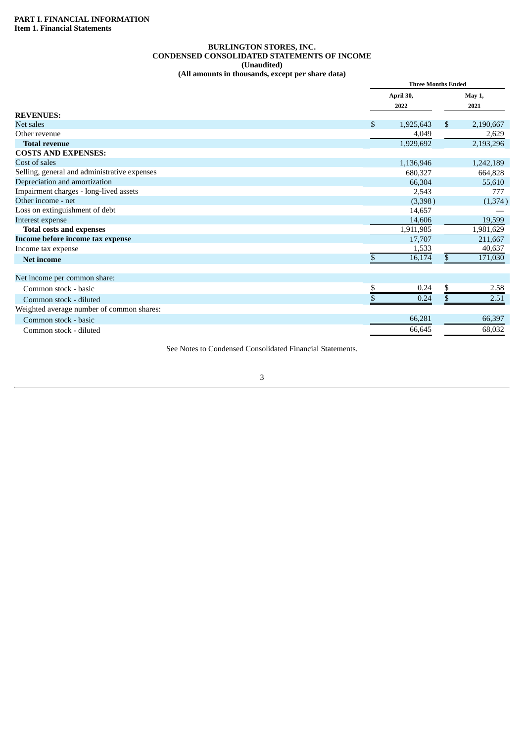## **BURLINGTON STORES, INC. CONDENSED CONSOLIDATED STATEMENTS OF INCOME (Unaudited) (All amounts in thousands, except per share data)**

<span id="page-2-2"></span><span id="page-2-1"></span><span id="page-2-0"></span>

|                                              | <b>Three Months Ended</b> |    |           |  |  |
|----------------------------------------------|---------------------------|----|-----------|--|--|
|                                              | April 30,                 |    | May 1,    |  |  |
| <b>REVENUES:</b>                             | 2022                      |    | 2021      |  |  |
| Net sales                                    | \$<br>1,925,643           | \$ | 2,190,667 |  |  |
| Other revenue                                | 4,049                     |    | 2,629     |  |  |
| <b>Total revenue</b>                         | 1,929,692                 |    | 2,193,296 |  |  |
| <b>COSTS AND EXPENSES:</b>                   |                           |    |           |  |  |
| Cost of sales                                | 1,136,946                 |    | 1,242,189 |  |  |
| Selling, general and administrative expenses | 680,327                   |    | 664,828   |  |  |
| Depreciation and amortization                | 66,304                    |    | 55,610    |  |  |
| Impairment charges - long-lived assets       | 2,543                     |    | 777       |  |  |
| Other income - net                           | (3,398)                   |    | (1,374)   |  |  |
| Loss on extinguishment of debt               | 14,657                    |    |           |  |  |
| Interest expense                             | 14,606                    |    | 19,599    |  |  |
| <b>Total costs and expenses</b>              | 1,911,985                 |    | 1,981,629 |  |  |
| Income before income tax expense             | 17,707                    |    | 211,667   |  |  |
| Income tax expense                           | 1,533                     |    | 40,637    |  |  |
| <b>Net income</b>                            | \$<br>16,174              | \$ | 171,030   |  |  |
| Net income per common share:                 |                           |    |           |  |  |
| Common stock - basic                         | \$<br>0.24                | \$ | 2.58      |  |  |
| Common stock - diluted                       | \$<br>0.24                | \$ | 2.51      |  |  |
| Weighted average number of common shares:    |                           |    |           |  |  |
|                                              | 66,281                    |    | 66,397    |  |  |
| Common stock - basic                         |                           |    |           |  |  |
| Common stock - diluted                       | 66,645                    |    | 68,032    |  |  |

See Notes to Condensed Consolidated Financial Statements.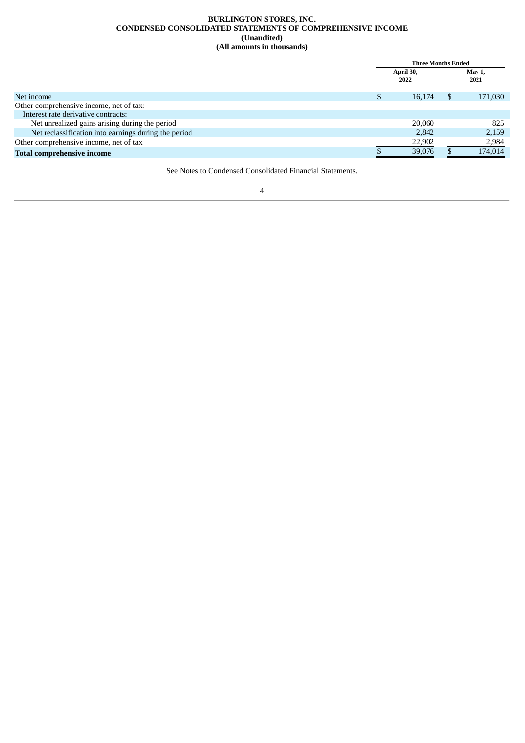## **BURLINGTON STORES, INC. CONDENSED CONSOLIDATED STATEMENTS OF COMPREHENSIVE INCOME (Unaudited) (All amounts in thousands)**

<span id="page-3-0"></span>

|                                                      | <b>Three Months Ended</b> |                   |  |                   |
|------------------------------------------------------|---------------------------|-------------------|--|-------------------|
|                                                      |                           | April 30,<br>2022 |  | $M$ ay 1,<br>2021 |
| Net income                                           |                           | 16,174            |  | 171,030           |
| Other comprehensive income, net of tax:              |                           |                   |  |                   |
| Interest rate derivative contracts:                  |                           |                   |  |                   |
| Net unrealized gains arising during the period       |                           | 20,060            |  | 825               |
| Net reclassification into earnings during the period |                           | 2,842             |  | 2,159             |
| Other comprehensive income, net of tax               |                           | 22,902            |  | 2,984             |
| <b>Total comprehensive income</b>                    |                           | 39,076            |  | 174,014           |

See Notes to Condensed Consolidated Financial Statements.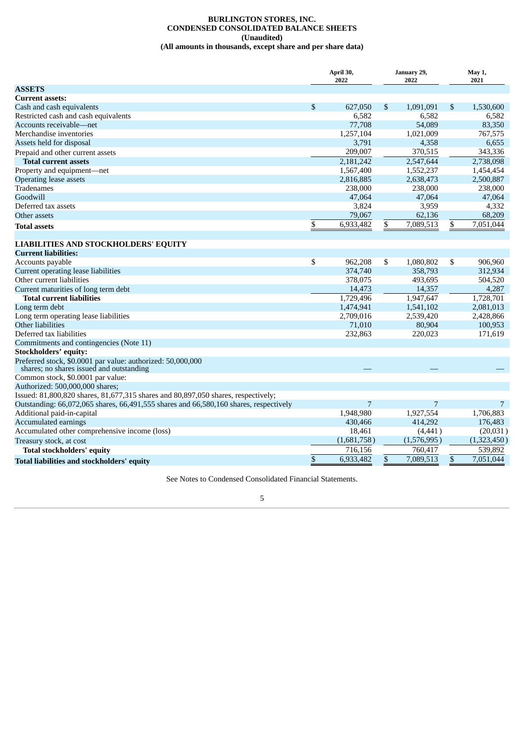## **BURLINGTON STORES, INC. CONDENSED CONSOLIDATED BALANCE SHEETS (Unaudited) (All amounts in thousands, except share and per share data)**

<span id="page-4-0"></span>

|                                                                                                         | April 30,<br>2022 |    | January 29,<br>2022 | May 1,<br>2021  |  |
|---------------------------------------------------------------------------------------------------------|-------------------|----|---------------------|-----------------|--|
| <b>ASSETS</b>                                                                                           |                   |    |                     |                 |  |
| <b>Current assets:</b>                                                                                  |                   |    |                     |                 |  |
| Cash and cash equivalents                                                                               | \$<br>627,050     | \$ | 1,091,091           | \$<br>1,530,600 |  |
| Restricted cash and cash equivalents                                                                    | 6,582             |    | 6,582               | 6,582           |  |
| Accounts receivable-net                                                                                 | 77,708            |    | 54,089              | 83,350          |  |
| Merchandise inventories                                                                                 | 1,257,104         |    | 1,021,009           | 767,575         |  |
| Assets held for disposal                                                                                | 3,791             |    | 4,358               | 6,655           |  |
| Prepaid and other current assets                                                                        | 209,007           |    | 370,515             | 343,336         |  |
| <b>Total current assets</b>                                                                             | 2,181,242         |    | 2,547,644           | 2,738,098       |  |
| Property and equipment-net                                                                              | 1,567,400         |    | 1,552,237           | 1,454,454       |  |
| <b>Operating lease assets</b>                                                                           | 2,816,885         |    | 2,638,473           | 2,500,887       |  |
| Tradenames                                                                                              | 238,000           |    | 238,000             | 238,000         |  |
| Goodwill                                                                                                | 47,064            |    | 47,064              | 47,064          |  |
| Deferred tax assets                                                                                     | 3,824             |    | 3,959               | 4,332           |  |
| Other assets                                                                                            | 79,067            |    | 62,136              | 68,209          |  |
| <b>Total assets</b>                                                                                     | \$<br>6,933,482   | \$ | 7,089,513           | \$<br>7,051,044 |  |
|                                                                                                         |                   |    |                     |                 |  |
| <b>LIABILITIES AND STOCKHOLDERS' EQUITY</b>                                                             |                   |    |                     |                 |  |
| <b>Current liabilities:</b>                                                                             |                   |    |                     |                 |  |
| Accounts payable                                                                                        | \$<br>962,208     | \$ | 1,080,802           | \$<br>906,960   |  |
| Current operating lease liabilities                                                                     | 374,740           |    | 358,793             | 312,934         |  |
| Other current liabilities                                                                               | 378,075           |    | 493,695             | 504,520         |  |
| Current maturities of long term debt                                                                    | 14,473            |    | 14,357              | 4,287           |  |
| <b>Total current liabilities</b>                                                                        | 1,729,496         |    | 1,947,647           | 1,728,701       |  |
| Long term debt                                                                                          | 1,474,941         |    | 1,541,102           | 2,081,013       |  |
| Long term operating lease liabilities                                                                   | 2,709,016         |    | 2,539,420           | 2,428,866       |  |
| Other liabilities                                                                                       | 71,010            |    | 80,904              | 100,953         |  |
| Deferred tax liabilities                                                                                | 232,863           |    | 220,023             | 171,619         |  |
| Commitments and contingencies (Note 11)                                                                 |                   |    |                     |                 |  |
| <b>Stockholders' equity:</b>                                                                            |                   |    |                     |                 |  |
| Preferred stock, \$0.0001 par value: authorized: 50,000,000<br>shares; no shares issued and outstanding |                   |    |                     |                 |  |
| Common stock, \$0.0001 par value:                                                                       |                   |    |                     |                 |  |
| Authorized: 500,000,000 shares;                                                                         |                   |    |                     |                 |  |
| Issued: 81,800,820 shares, 81,677,315 shares and 80,897,050 shares, respectively;                       |                   |    |                     |                 |  |
| Outstanding: 66,072,065 shares, 66,491,555 shares and 66,580,160 shares, respectively                   | 7                 |    |                     |                 |  |
| Additional paid-in-capital                                                                              | 1,948,980         |    | 1,927,554           | 1,706,883       |  |
| Accumulated earnings                                                                                    | 430,466           |    | 414,292             | 176,483         |  |
| Accumulated other comprehensive income (loss)                                                           | 18,461            |    | (4, 441)            | (20, 031)       |  |
| Treasury stock, at cost                                                                                 | (1,681,758)       |    | (1,576,995)         | (1,323,450)     |  |
| <b>Total stockholders' equity</b>                                                                       | 716,156           |    | 760,417             | 539,892         |  |
| <b>Total liabilities and stockholders' equity</b>                                                       | \$<br>6,933,482   | \$ | 7,089,513           | \$<br>7.051.044 |  |

See Notes to Condensed Consolidated Financial Statements.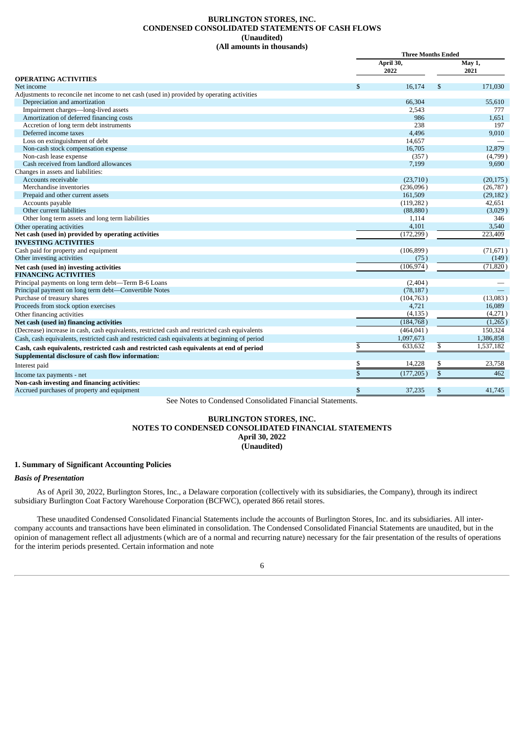### **BURLINGTON STORES, INC. CONDENSED CONSOLIDATED STATEMENTS OF CASH FLOWS (Unaudited) (All amounts in thousands)**

<span id="page-5-0"></span>

|                                                                                                | <b>Three Months Ended</b> |    |                |  |
|------------------------------------------------------------------------------------------------|---------------------------|----|----------------|--|
|                                                                                                | April 30,<br>2022         |    | May 1,<br>2021 |  |
| <b>OPERATING ACTIVITIES</b>                                                                    |                           |    |                |  |
| Net income                                                                                     | \$<br>16.174              | \$ | 171.030        |  |
| Adjustments to reconcile net income to net cash (used in) provided by operating activities     |                           |    |                |  |
| Depreciation and amortization                                                                  | 66.304                    |    | 55,610         |  |
| Impairment charges-long-lived assets                                                           | 2,543                     |    | 777            |  |
| Amortization of deferred financing costs                                                       | 986                       |    | 1,651          |  |
| Accretion of long term debt instruments                                                        | 238                       |    | 197            |  |
| Deferred income taxes                                                                          | 4,496                     |    | 9,010          |  |
| Loss on extinguishment of debt                                                                 | 14,657                    |    |                |  |
| Non-cash stock compensation expense                                                            | 16,705                    |    | 12,879         |  |
| Non-cash lease expense                                                                         | (357)                     |    | (4,799)        |  |
| Cash received from landlord allowances                                                         | 7,199                     |    | 9,690          |  |
| Changes in assets and liabilities:                                                             |                           |    |                |  |
| Accounts receivable                                                                            | (23,710)                  |    | (20, 175)      |  |
| Merchandise inventories                                                                        | (236,096)                 |    | (26,787)       |  |
| Prepaid and other current assets                                                               | 161,509                   |    | (29, 182)      |  |
| Accounts payable                                                                               | (119, 282)                |    | 42,651         |  |
| Other current liabilities                                                                      | (88, 880)                 |    | (3,029)        |  |
| Other long term assets and long term liabilities                                               | 1,114                     |    | 346            |  |
| Other operating activities                                                                     | 4,101                     |    | 3,540          |  |
| Net cash (used in) provided by operating activities                                            | (172, 299)                |    | 223,409        |  |
| <b>INVESTING ACTIVITIES</b>                                                                    |                           |    |                |  |
| Cash paid for property and equipment                                                           | (106, 899)                |    | (71, 671)      |  |
| Other investing activities                                                                     | (75)                      |    | (149)          |  |
| Net cash (used in) investing activities                                                        | (106, 974)                |    | (71, 820)      |  |
| <b>FINANCING ACTIVITIES</b>                                                                    |                           |    |                |  |
| Principal payments on long term debt-Term B-6 Loans                                            | (2,404)                   |    |                |  |
| Principal payment on long term debt-Convertible Notes                                          | (78, 187)                 |    |                |  |
| Purchase of treasury shares                                                                    | (104, 763)                |    | (13,083)       |  |
| Proceeds from stock option exercises                                                           | 4,721                     |    | 16,089         |  |
| Other financing activities                                                                     | (4, 135)                  |    | (4,271)        |  |
| Net cash (used in) financing activities                                                        | (184,768)                 |    | (1,265)        |  |
| (Decrease) increase in cash, cash equivalents, restricted cash and restricted cash equivalents | (464, 041)                |    | 150,324        |  |
| Cash, cash equivalents, restricted cash and restricted cash equivalents at beginning of period | 1,097,673                 |    | 1,386,858      |  |
| Cash, cash equivalents, restricted cash and restricted cash equivalents at end of period       | \$<br>633,632             | \$ | 1,537,182      |  |
| Supplemental disclosure of cash flow information:                                              |                           |    |                |  |
| Interest paid                                                                                  | \$<br>14,228              | \$ | 23,758         |  |
| Income tax payments - net                                                                      | \$<br>(177, 205)          | \$ | 462            |  |
| Non-cash investing and financing activities:                                                   |                           |    |                |  |
| Accrued purchases of property and equipment                                                    | \$<br>37,235              | \$ | 41,745         |  |
|                                                                                                |                           |    |                |  |

See Notes to Condensed Consolidated Financial Statements.

## **BURLINGTON STORES, INC. NOTES TO CONDENSED CONSOLIDATED FINANCIAL STATEMENTS April 30, 2022 (Unaudited)**

## <span id="page-5-1"></span>**1. Summary of Significant Accounting Policies**

## *Basis of Presentation*

As of April 30, 2022, Burlington Stores, Inc., a Delaware corporation (collectively with its subsidiaries, the Company), through its indirect subsidiary Burlington Coat Factory Warehouse Corporation (BCFWC), operated 866 retail stores.

These unaudited Condensed Consolidated Financial Statements include the accounts of Burlington Stores, Inc. and its subsidiaries. All intercompany accounts and transactions have been eliminated in consolidation. The Condensed Consolidated Financial Statements are unaudited, but in the opinion of management reflect all adjustments (which are of a normal and recurring nature) necessary for the fair presentation of the results of operations for the interim periods presented. Certain information and note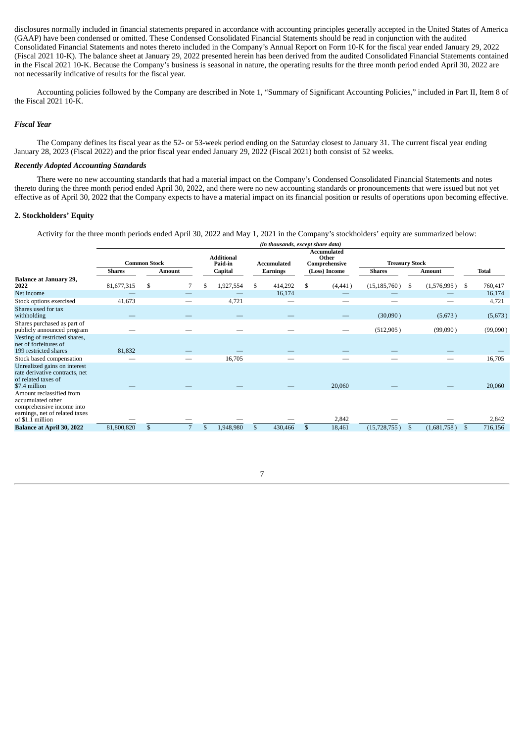disclosures normally included in financial statements prepared in accordance with accounting principles generally accepted in the United States of America (GAAP) have been condensed or omitted. These Condensed Consolidated Financial Statements should be read in conjunction with the audited Consolidated Financial Statements and notes thereto included in the Company's Annual Report on Form 10-K for the fiscal year ended January 29, 2022 (Fiscal 2021 10-K). The balance sheet at January 29, 2022 presented herein has been derived from the audited Consolidated Financial Statements contained in the Fiscal 2021 10-K. Because the Company's business is seasonal in nature, the operating results for the three month period ended April 30, 2022 are not necessarily indicative of results for the fiscal year.

Accounting policies followed by the Company are described in Note 1, "Summary of Significant Accounting Policies," included in Part II, Item 8 of the Fiscal 2021 10-K.

## *Fiscal Year*

The Company defines its fiscal year as the 52- or 53-week period ending on the Saturday closest to January 31. The current fiscal year ending January 28, 2023 (Fiscal 2022) and the prior fiscal year ended January 29, 2022 (Fiscal 2021) both consist of 52 weeks.

#### *Recently Adopted Accounting Standards*

There were no new accounting standards that had a material impact on the Company's Condensed Consolidated Financial Statements and notes thereto during the three month period ended April 30, 2022, and there were no new accounting standards or pronouncements that were issued but not yet effective as of April 30, 2022 that the Company expects to have a material impact on its financial position or results of operations upon becoming effective.

## **2. Stockholders' Equity**

Activity for the three month periods ended April 30, 2022 and May 1, 2021 in the Company's stockholders' equity are summarized below:

|                                                                                                                                  |               |                     |               |                              |     | (in thousands, except share data) |                                              |                       |    |             |     |              |
|----------------------------------------------------------------------------------------------------------------------------------|---------------|---------------------|---------------|------------------------------|-----|-----------------------------------|----------------------------------------------|-----------------------|----|-------------|-----|--------------|
|                                                                                                                                  |               | <b>Common Stock</b> |               | <b>Additional</b><br>Paid-in |     | Accumulated                       | <b>Accumulated</b><br>Other<br>Comprehensive | <b>Treasury Stock</b> |    |             |     |              |
|                                                                                                                                  | <b>Shares</b> |                     | <b>Amount</b> | Capital                      |     | <b>Earnings</b>                   | (Loss) Income                                | <b>Shares</b>         |    | Amount      |     | <b>Total</b> |
| <b>Balance at January 29,</b><br>2022                                                                                            | 81,677,315    | \$                  |               | 1,927,554                    | S   | 414,292                           | \$<br>(4, 441)                               | (15, 185, 760)        | S  | (1,576,995) | \$  | 760,417      |
| Net income                                                                                                                       |               |                     |               |                              |     | 16,174                            |                                              |                       |    |             |     | 16,174       |
| Stock options exercised                                                                                                          | 41,673        |                     |               | 4,721                        |     |                                   |                                              |                       |    |             |     | 4,721        |
| Shares used for tax<br>withholding                                                                                               |               |                     |               |                              |     |                                   |                                              | (30,090)              |    | (5,673)     |     | (5,673)      |
| Shares purchased as part of<br>publicly announced program                                                                        |               |                     |               |                              |     |                                   |                                              | (512, 905)            |    | (99,090)    |     | (99,090)     |
| Vesting of restricted shares,<br>net of forfeitures of<br>199 restricted shares                                                  | 81,832        |                     |               |                              |     |                                   |                                              |                       |    |             |     |              |
| Stock based compensation                                                                                                         |               |                     |               | 16,705                       |     |                                   |                                              |                       |    |             |     | 16,705       |
| Unrealized gains on interest<br>rate derivative contracts, net<br>of related taxes of<br>\$7.4 million                           |               |                     |               |                              |     |                                   | 20,060                                       |                       |    |             |     | 20,060       |
| Amount reclassified from<br>accumulated other<br>comprehensive income into<br>earnings, net of related taxes<br>of \$1.1 million |               |                     |               |                              |     |                                   | 2,842                                        |                       |    |             |     | 2,842        |
| <b>Balance at April 30, 2022</b>                                                                                                 | 81,800,820    | \$.                 |               | \$<br>1,948,980              | \$. | 430,466                           | \$<br>18,461                                 | (15,728,755)          | \$ | (1,681,758) | \$. | 716,156      |
|                                                                                                                                  |               |                     |               |                              |     |                                   |                                              |                       |    |             |     |              |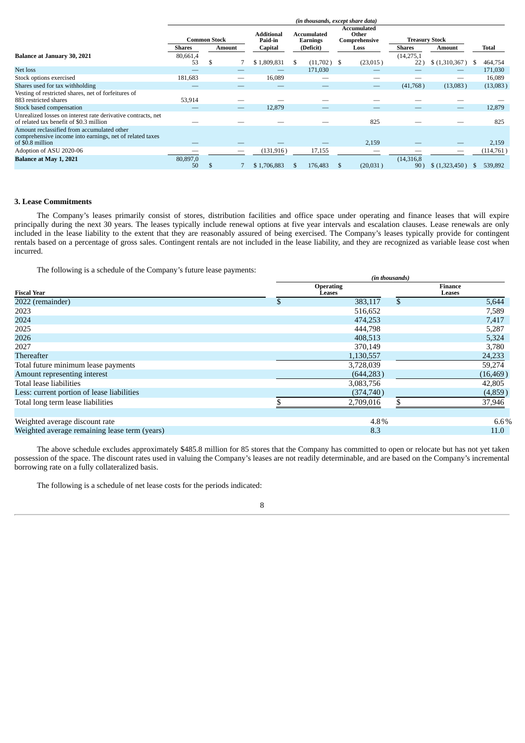|                                                                                                                            | (in thousands, except share data) |                     |               |                       |   |                                |    |                                              |                       |               |   |            |
|----------------------------------------------------------------------------------------------------------------------------|-----------------------------------|---------------------|---------------|-----------------------|---|--------------------------------|----|----------------------------------------------|-----------------------|---------------|---|------------|
|                                                                                                                            |                                   | <b>Common Stock</b> |               | Additional<br>Paid-in |   | Accumulated<br><b>Earnings</b> |    | <b>Accumulated</b><br>Other<br>Comprehensive | <b>Treasury Stock</b> |               |   |            |
|                                                                                                                            | <b>Shares</b>                     |                     | <b>Amount</b> | Capital               |   | (Deficit)                      |    | Loss                                         | Shares                | Amount        |   | Total      |
| <b>Balance at January 30, 2021</b>                                                                                         | 80,661,4<br>53                    | S                   |               | \$1,809,831           | S | (11,702)                       | -S | (23,015)                                     | (14, 275, 1<br>22)    | \$(1,310,367) | S | 464,754    |
| Net loss                                                                                                                   |                                   |                     |               |                       |   | 171,030                        |    |                                              |                       |               |   | 171,030    |
| Stock options exercised                                                                                                    | 181,683                           |                     |               | 16,089                |   |                                |    |                                              |                       |               |   | 16,089     |
| Shares used for tax withholding                                                                                            |                                   |                     |               |                       |   |                                |    |                                              | (41,768)              | (13,083)      |   | (13,083)   |
| Vesting of restricted shares, net of forfeitures of<br>883 restricted shares                                               | 53,914                            |                     |               |                       |   |                                |    |                                              |                       |               |   |            |
| Stock based compensation                                                                                                   |                                   |                     | —             | 12,879                |   |                                |    |                                              |                       |               |   | 12,879     |
| Unrealized losses on interest rate derivative contracts, net<br>of related tax benefit of \$0.3 million                    |                                   |                     |               |                       |   |                                |    | 825                                          |                       |               |   | 825        |
| Amount reclassified from accumulated other<br>comprehensive income into earnings, net of related taxes<br>of \$0.8 million |                                   |                     |               |                       |   |                                |    | 2,159                                        |                       |               |   | 2,159      |
| Adoption of ASU 2020-06                                                                                                    |                                   |                     |               | (131, 916)            |   | 17,155                         |    |                                              |                       | —             |   | (114, 761) |
| Balance at May 1, 2021                                                                                                     | 80,897,0<br>50                    |                     |               | \$1,706,883           |   | 176,483                        | Ж  | (20,031)                                     | (14, 316, 8)<br>90)   | \$(1,323,450) |   | 539,892    |

## **3. Lease Commitments**

The Company's leases primarily consist of stores, distribution facilities and office space under operating and finance leases that will expire principally during the next 30 years. The leases typically include renewal options at five year intervals and escalation clauses. Lease renewals are only included in the lease liability to the extent that they are reasonably assured of being exercised. The Company's leases typically provide for contingent rentals based on a percentage of gross sales. Contingent rentals are not included in the lease liability, and they are recognized as variable lease cost when incurred.

The following is a schedule of the Company's future lease payments:

|                                               | (in thousands) |                            |    |                   |  |  |  |  |  |
|-----------------------------------------------|----------------|----------------------------|----|-------------------|--|--|--|--|--|
| <b>Fiscal Year</b>                            |                | <b>Operating</b><br>Leases |    | Finance<br>Leases |  |  |  |  |  |
| 2022 (remainder)                              | \$             | 383,117                    | \$ | 5,644             |  |  |  |  |  |
| 2023                                          |                | 516,652                    |    | 7,589             |  |  |  |  |  |
| 2024                                          |                | 474,253                    |    | 7,417             |  |  |  |  |  |
| 2025                                          |                | 444,798                    |    | 5,287             |  |  |  |  |  |
| 2026                                          |                | 408,513                    |    | 5,324             |  |  |  |  |  |
| 2027                                          |                | 370,149                    |    | 3,780             |  |  |  |  |  |
| <b>Thereafter</b>                             |                | 1,130,557                  |    | 24,233            |  |  |  |  |  |
| Total future minimum lease payments           |                | 3,728,039                  |    | 59,274            |  |  |  |  |  |
| Amount representing interest                  |                | (644, 283)                 |    | (16, 469)         |  |  |  |  |  |
| Total lease liabilities                       |                | 3,083,756                  |    | 42,805            |  |  |  |  |  |
| Less: current portion of lease liabilities    |                | (374,740)                  |    | (4,859)           |  |  |  |  |  |
| Total long term lease liabilities             |                | 2,709,016                  |    | 37,946            |  |  |  |  |  |
| Weighted average discount rate                |                | 4.8%                       |    | 6.6%              |  |  |  |  |  |
| Weighted average remaining lease term (years) |                | 8.3                        |    | 11.0              |  |  |  |  |  |

The above schedule excludes approximately \$485.8 million for 85 stores that the Company has committed to open or relocate but has not yet taken possession of the space. The discount rates used in valuing the Company's leases are not readily determinable, and are based on the Company's incremental borrowing rate on a fully collateralized basis.

The following is a schedule of net lease costs for the periods indicated: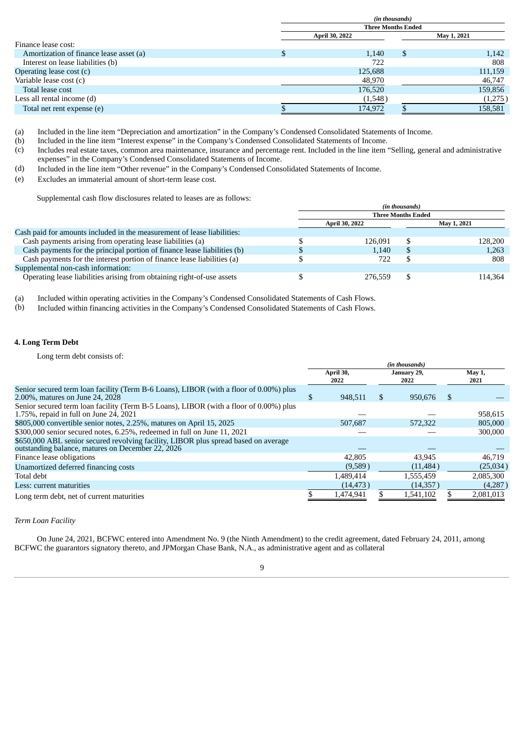|                                         |                           | (in thousands)        |   |         |  |  |  |  |  |
|-----------------------------------------|---------------------------|-----------------------|---|---------|--|--|--|--|--|
|                                         | <b>Three Months Ended</b> |                       |   |         |  |  |  |  |  |
|                                         |                           | <b>April 30, 2022</b> |   |         |  |  |  |  |  |
| Finance lease cost:                     |                           |                       |   |         |  |  |  |  |  |
| Amortization of finance lease asset (a) |                           | 1,140                 | Ъ | 1,142   |  |  |  |  |  |
| Interest on lease liabilities (b)       |                           | 722                   |   | 808     |  |  |  |  |  |
| Operating lease cost (c)                |                           | 125,688               |   | 111,159 |  |  |  |  |  |
| Variable lease cost (c)                 |                           | 48,970                |   | 46,747  |  |  |  |  |  |
| Total lease cost                        |                           | 176,520               |   | 159,856 |  |  |  |  |  |
| Less all rental income (d)              |                           | (1,548)               |   | (1,275) |  |  |  |  |  |
| Total net rent expense (e)              |                           | 174,972               |   | 158,581 |  |  |  |  |  |

(a) Included in the line item "Depreciation and amortization" in the Company's Condensed Consolidated Statements of Income.

(b) Included in the line item "Interest expense" in the Company's Condensed Consolidated Statements of Income.

(c) Includes real estate taxes, common area maintenance, insurance and percentage rent. Included in the line item "Selling, general and administrative expenses" in the Company's Condensed Consolidated Statements of Income.

(d) Included in the line item "Other revenue" in the Company's Condensed Consolidated Statements of Income.

(e) Excludes an immaterial amount of short-term lease cost.

Supplemental cash flow disclosures related to leases are as follows:

|                                                                          | (in thousands) |                           |     |             |  |  |  |
|--------------------------------------------------------------------------|----------------|---------------------------|-----|-------------|--|--|--|
|                                                                          |                | <b>Three Months Ended</b> |     |             |  |  |  |
|                                                                          |                | April 30, 2022            |     | May 1, 2021 |  |  |  |
| Cash paid for amounts included in the measurement of lease liabilities:  |                |                           |     |             |  |  |  |
| Cash payments arising from operating lease liabilities (a)               |                | 126.091                   |     | 128,200     |  |  |  |
| Cash payments for the principal portion of finance lease liabilities (b) |                | 1.140                     | \$. | 1.263       |  |  |  |
| Cash payments for the interest portion of finance lease liabilities (a)  |                | 722                       |     | 808         |  |  |  |
| Supplemental non-cash information:                                       |                |                           |     |             |  |  |  |
| Operating lease liabilities arising from obtaining right-of-use assets   |                | 276.559                   |     | 114,364     |  |  |  |

(a) Included within operating activities in the Company's Condensed Consolidated Statements of Cash Flows.

(b) Included within financing activities in the Company's Condensed Consolidated Statements of Cash Flows.

## **4. Long Term Debt**

Long term debt consists of:

|                                                                                                                                          | (in thousands) |                   |     |                     |     |                |
|------------------------------------------------------------------------------------------------------------------------------------------|----------------|-------------------|-----|---------------------|-----|----------------|
|                                                                                                                                          |                | April 30,<br>2022 |     | January 29,<br>2022 |     | May 1,<br>2021 |
| Senior secured term loan facility (Term B-6 Loans), LIBOR (with a floor of 0.00%) plus<br>2.00%, matures on June 24, 2028                | S              | 948.511           | \$. | 950,676             | -\$ |                |
| Senior secured term loan facility (Term B-5 Loans), LIBOR (with a floor of 0.00%) plus<br>1.75%, repaid in full on June $24$ , $2021$    |                |                   |     |                     |     | 958,615        |
| \$805,000 convertible senior notes, 2.25%, matures on April 15, 2025                                                                     |                | 507.687           |     | 572,322             |     | 805,000        |
| \$300,000 senior secured notes, 6.25%, redeemed in full on June 11, 2021                                                                 |                |                   |     |                     |     | 300,000        |
| \$650,000 ABL senior secured revolving facility, LIBOR plus spread based on average<br>outstanding balance, matures on December 22, 2026 |                |                   |     |                     |     |                |
| Finance lease obligations                                                                                                                |                | 42,805            |     | 43.945              |     | 46,719         |
| Unamortized deferred financing costs                                                                                                     |                | (9,589)           |     | (11, 484)           |     | (25,034)       |
| Total debt                                                                                                                               |                | 1,489,414         |     | 1,555,459           |     | 2,085,300      |
| Less: current maturities                                                                                                                 |                | (14, 473)         |     | (14, 357)           |     | (4,287)        |
| Long term debt, net of current maturities                                                                                                |                | 1,474,941         |     | 1,541,102           |     | 2,081,013      |

## *Term Loan Facility*

On June 24, 2021, BCFWC entered into Amendment No. 9 (the Ninth Amendment) to the credit agreement, dated February 24, 2011, among BCFWC the guarantors signatory thereto, and JPMorgan Chase Bank, N.A., as administrative agent and as collateral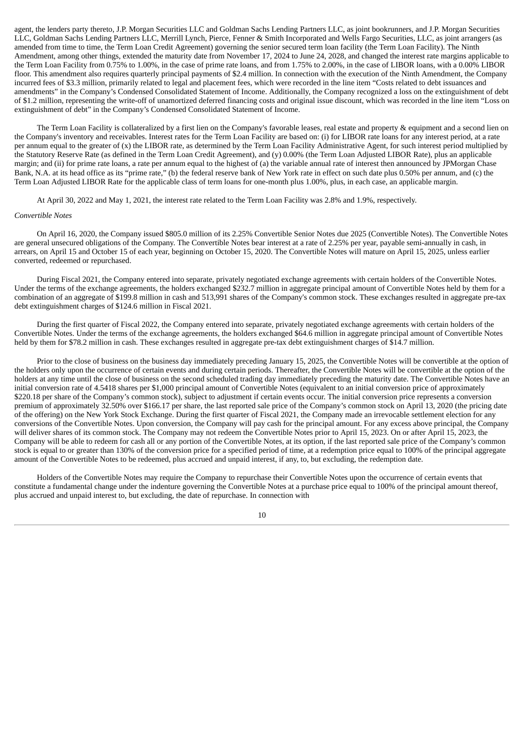agent, the lenders party thereto, J.P. Morgan Securities LLC and Goldman Sachs Lending Partners LLC, as joint bookrunners, and J.P. Morgan Securities LLC, Goldman Sachs Lending Partners LLC, Merrill Lynch, Pierce, Fenner & Smith Incorporated and Wells Fargo Securities, LLC, as joint arrangers (as amended from time to time, the Term Loan Credit Agreement) governing the senior secured term loan facility (the Term Loan Facility). The Ninth Amendment, among other things, extended the maturity date from November 17, 2024 to June 24, 2028, and changed the interest rate margins applicable to the Term Loan Facility from 0.75% to 1.00%, in the case of prime rate loans, and from 1.75% to 2.00%, in the case of LIBOR loans, with a 0.00% LIBOR floor. This amendment also requires quarterly principal payments of \$2.4 million. In connection with the execution of the Ninth Amendment, the Company incurred fees of \$3.3 million, primarily related to legal and placement fees, which were recorded in the line item "Costs related to debt issuances and amendments" in the Company's Condensed Consolidated Statement of Income. Additionally, the Company recognized a loss on the extinguishment of debt of \$1.2 million, representing the write-off of unamortized deferred financing costs and original issue discount, which was recorded in the line item "Loss on extinguishment of debt" in the Company's Condensed Consolidated Statement of Income.

The Term Loan Facility is collateralized by a first lien on the Company's favorable leases, real estate and property & equipment and a second lien on the Company's inventory and receivables. Interest rates for the Term Loan Facility are based on: (i) for LIBOR rate loans for any interest period, at a rate per annum equal to the greater of (x) the LIBOR rate, as determined by the Term Loan Facility Administrative Agent, for such interest period multiplied by the Statutory Reserve Rate (as defined in the Term Loan Credit Agreement), and (y) 0.00% (the Term Loan Adjusted LIBOR Rate), plus an applicable margin; and (ii) for prime rate loans, a rate per annum equal to the highest of (a) the variable annual rate of interest then announced by JPMorgan Chase Bank, N.A. at its head office as its "prime rate," (b) the federal reserve bank of New York rate in effect on such date plus 0.50% per annum, and (c) the Term Loan Adjusted LIBOR Rate for the applicable class of term loans for one-month plus 1.00%, plus, in each case, an applicable margin.

At April 30, 2022 and May 1, 2021, the interest rate related to the Term Loan Facility was 2.8% and 1.9%, respectively.

## *Convertible Notes*

On April 16, 2020, the Company issued \$805.0 million of its 2.25% Convertible Senior Notes due 2025 (Convertible Notes). The Convertible Notes are general unsecured obligations of the Company. The Convertible Notes bear interest at a rate of 2.25% per year, payable semi-annually in cash, in arrears, on April 15 and October 15 of each year, beginning on October 15, 2020. The Convertible Notes will mature on April 15, 2025, unless earlier converted, redeemed or repurchased.

During Fiscal 2021, the Company entered into separate, privately negotiated exchange agreements with certain holders of the Convertible Notes. Under the terms of the exchange agreements, the holders exchanged \$232.7 million in aggregate principal amount of Convertible Notes held by them for a combination of an aggregate of \$199.8 million in cash and 513,991 shares of the Company's common stock. These exchanges resulted in aggregate pre-tax debt extinguishment charges of \$124.6 million in Fiscal 2021.

During the first quarter of Fiscal 2022, the Company entered into separate, privately negotiated exchange agreements with certain holders of the Convertible Notes. Under the terms of the exchange agreements, the holders exchanged \$64.6 million in aggregate principal amount of Convertible Notes held by them for \$78.2 million in cash. These exchanges resulted in aggregate pre-tax debt extinguishment charges of \$14.7 million.

Prior to the close of business on the business day immediately preceding January 15, 2025, the Convertible Notes will be convertible at the option of the holders only upon the occurrence of certain events and during certain periods. Thereafter, the Convertible Notes will be convertible at the option of the holders at any time until the close of business on the second scheduled trading day immediately preceding the maturity date. The Convertible Notes have an initial conversion rate of 4.5418 shares per \$1,000 principal amount of Convertible Notes (equivalent to an initial conversion price of approximately \$220.18 per share of the Company's common stock), subject to adjustment if certain events occur. The initial conversion price represents a conversion premium of approximately 32.50% over \$166.17 per share, the last reported sale price of the Company's common stock on April 13, 2020 (the pricing date of the offering) on the New York Stock Exchange. During the first quarter of Fiscal 2021, the Company made an irrevocable settlement election for any conversions of the Convertible Notes. Upon conversion, the Company will pay cash for the principal amount. For any excess above principal, the Company will deliver shares of its common stock. The Company may not redeem the Convertible Notes prior to April 15, 2023. On or after April 15, 2023, the Company will be able to redeem for cash all or any portion of the Convertible Notes, at its option, if the last reported sale price of the Company's common stock is equal to or greater than 130% of the conversion price for a specified period of time, at a redemption price equal to 100% of the principal aggregate amount of the Convertible Notes to be redeemed, plus accrued and unpaid interest, if any, to, but excluding, the redemption date.

Holders of the Convertible Notes may require the Company to repurchase their Convertible Notes upon the occurrence of certain events that constitute a fundamental change under the indenture governing the Convertible Notes at a purchase price equal to 100% of the principal amount thereof, plus accrued and unpaid interest to, but excluding, the date of repurchase. In connection with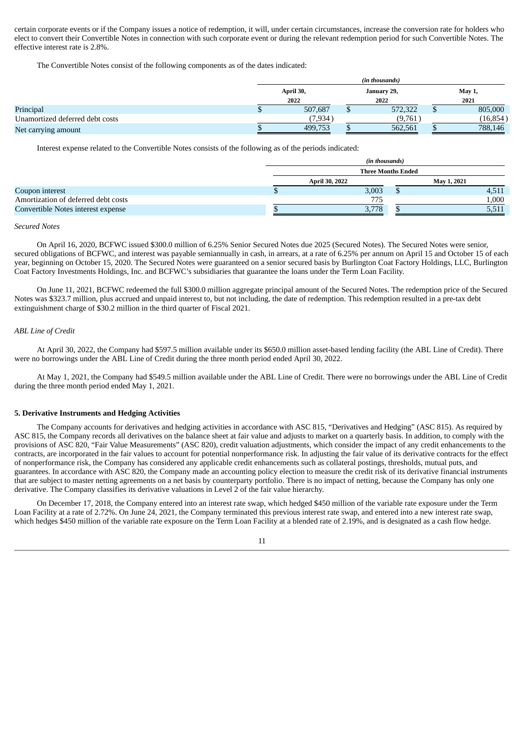certain corporate events or if the Company issues a notice of redemption, it will, under certain circumstances, increase the conversion rate for holders who elect to convert their Convertible Notes in connection with such corporate event or during the relevant redemption period for such Convertible Notes. The effective interest rate is 2.8%.

The Convertible Notes consist of the following components as of the dates indicated:

|                                 | (in thousands) |  |             |  |           |  |  |  |
|---------------------------------|----------------|--|-------------|--|-----------|--|--|--|
|                                 | April 30,      |  | January 29, |  | May 1,    |  |  |  |
|                                 | 2022           |  | 2022        |  | 2021      |  |  |  |
| Principal                       | 507,687        |  | 572,322     |  | 805,000   |  |  |  |
| Unamortized deferred debt costs | (7, 934)       |  | (9,761)     |  | (16, 854) |  |  |  |
| Net carrying amount             | 499,753        |  | 562,561     |  | 788,146   |  |  |  |

Interest expense related to the Convertible Notes consists of the following as of the periods indicated:

|                                     | (in thousands)            |       |  |             |  |  |
|-------------------------------------|---------------------------|-------|--|-------------|--|--|
|                                     | <b>Three Months Ended</b> |       |  |             |  |  |
|                                     | <b>April 30, 2022</b>     |       |  | May 1, 2021 |  |  |
| Coupon interest                     |                           | 3,003 |  | 4,511       |  |  |
| Amortization of deferred debt costs |                           | 775   |  | 1,000       |  |  |
| Convertible Notes interest expense  |                           | 3,778 |  | 5,511       |  |  |

## *Secured Notes*

On April 16, 2020, BCFWC issued \$300.0 million of 6.25% Senior Secured Notes due 2025 (Secured Notes). The Secured Notes were senior, secured obligations of BCFWC, and interest was payable semiannually in cash, in arrears, at a rate of 6.25% per annum on April 15 and October 15 of each year, beginning on October 15, 2020. The Secured Notes were guaranteed on a senior secured basis by Burlington Coat Factory Holdings, LLC, Burlington Coat Factory Investments Holdings, Inc. and BCFWC's subsidiaries that guarantee the loans under the Term Loan Facility.

On June 11, 2021, BCFWC redeemed the full \$300.0 million aggregate principal amount of the Secured Notes. The redemption price of the Secured Notes was \$323.7 million, plus accrued and unpaid interest to, but not including, the date of redemption. This redemption resulted in a pre-tax debt extinguishment charge of \$30.2 million in the third quarter of Fiscal 2021.

## *ABL Line of Credit*

At April 30, 2022, the Company had \$597.5 million available under its \$650.0 million asset-based lending facility (the ABL Line of Credit). There were no borrowings under the ABL Line of Credit during the three month period ended April 30, 2022.

At May 1, 2021, the Company had \$549.5 million available under the ABL Line of Credit. There were no borrowings under the ABL Line of Credit during the three month period ended May 1, 2021.

## **5. Derivative Instruments and Hedging Activities**

The Company accounts for derivatives and hedging activities in accordance with ASC 815, "Derivatives and Hedging" (ASC 815). As required by ASC 815, the Company records all derivatives on the balance sheet at fair value and adjusts to market on a quarterly basis. In addition, to comply with the provisions of ASC 820, "Fair Value Measurements" (ASC 820), credit valuation adjustments, which consider the impact of any credit enhancements to the contracts, are incorporated in the fair values to account for potential nonperformance risk. In adjusting the fair value of its derivative contracts for the effect of nonperformance risk, the Company has considered any applicable credit enhancements such as collateral postings, thresholds, mutual puts, and guarantees. In accordance with ASC 820, the Company made an accounting policy election to measure the credit risk of its derivative financial instruments that are subject to master netting agreements on a net basis by counterparty portfolio. There is no impact of netting, because the Company has only one derivative. The Company classifies its derivative valuations in Level 2 of the fair value hierarchy.

On December 17, 2018, the Company entered into an interest rate swap, which hedged \$450 million of the variable rate exposure under the Term Loan Facility at a rate of 2.72%. On June 24, 2021, the Company terminated this previous interest rate swap, and entered into a new interest rate swap, which hedges \$450 million of the variable rate exposure on the Term Loan Facility at a blended rate of 2.19%, and is designated as a cash flow hedge.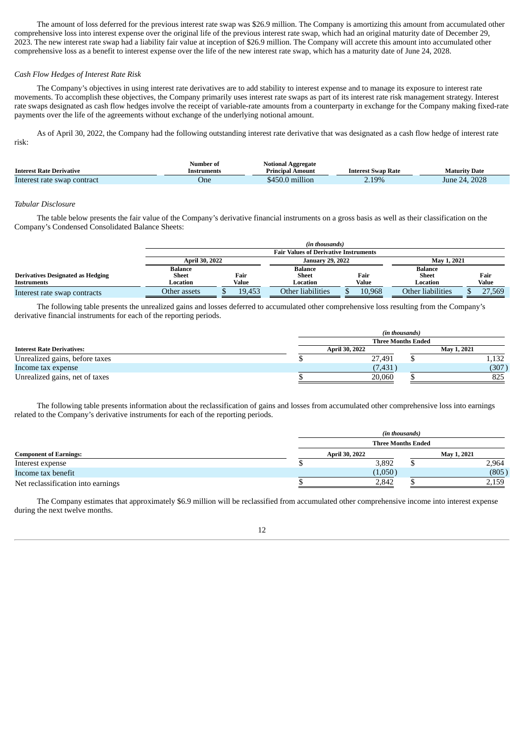The amount of loss deferred for the previous interest rate swap was \$26.9 million. The Company is amortizing this amount from accumulated other comprehensive loss into interest expense over the original life of the previous interest rate swap, which had an original maturity date of December 29, 2023. The new interest rate swap had a liability fair value at inception of \$26.9 million. The Company will accrete this amount into accumulated other comprehensive loss as a benefit to interest expense over the life of the new interest rate swap, which has a maturity date of June 24, 2028.

### *Cash Flow Hedges of Interest Rate Risk*

The Company's objectives in using interest rate derivatives are to add stability to interest expense and to manage its exposure to interest rate movements. To accomplish these objectives, the Company primarily uses interest rate swaps as part of its interest rate risk management strategy. Interest rate swaps designated as cash flow hedges involve the receipt of variable-rate amounts from a counterparty in exchange for the Company making fixed-rate payments over the life of the agreements without exchange of the underlying notional amount.

As of April 30, 2022, the Company had the following outstanding interest rate derivative that was designated as a cash flow hedge of interest rate risk:

| <b>Interest Rate Derivative</b> | Number of<br>Instruments | <b>Notional Aggregate</b><br><b>Principal Amount</b> | Interest Swap Rate | <b>Maturity Date</b> |
|---------------------------------|--------------------------|------------------------------------------------------|--------------------|----------------------|
| Interest rate swap contract     | One                      | <br>\$450.0 million                                  | 2.19%              | June 24, 2028        |

#### *Tabular Disclosure*

The table below presents the fair value of the Company's derivative financial instruments on a gross basis as well as their classification on the Company's Condensed Consolidated Balance Sheets:

|                                          | (in thousands)                               |                                                  |                   |        |                   |             |  |  |  |
|------------------------------------------|----------------------------------------------|--------------------------------------------------|-------------------|--------|-------------------|-------------|--|--|--|
|                                          | <b>Fair Values of Derivative Instruments</b> |                                                  |                   |        |                   |             |  |  |  |
|                                          |                                              | <b>April 30, 2022</b><br><b>January 29, 2022</b> |                   |        |                   | May 1, 2021 |  |  |  |
|                                          | Balance                                      |                                                  | <b>Balance</b>    |        | <b>Balance</b>    |             |  |  |  |
| <b>Derivatives Designated as Hedging</b> | Sheet                                        | Fair                                             | Sheet             | Fair   | Sheet             | Fair        |  |  |  |
| Instruments                              | Location                                     | Value                                            | Location          | Value  | Location          | Value       |  |  |  |
| Interest rate swap contracts             | Other assets                                 | 19.453                                           | Other liabilities | 10.968 | Other liabilities | 27,569      |  |  |  |

The following table presents the unrealized gains and losses deferred to accumulated other comprehensive loss resulting from the Company's derivative financial instruments for each of the reporting periods.

| <b>Interest Rate Derivatives:</b> |                           | (in thousands)        |  |             |  |  |  |  |  |
|-----------------------------------|---------------------------|-----------------------|--|-------------|--|--|--|--|--|
|                                   | <b>Three Months Ended</b> |                       |  |             |  |  |  |  |  |
|                                   |                           | <b>April 30, 2022</b> |  | May 1, 2021 |  |  |  |  |  |
| Unrealized gains, before taxes    |                           | 27.491                |  | 1,132       |  |  |  |  |  |
| Income tax expense                |                           | (7, 431)              |  | (307)       |  |  |  |  |  |
| Unrealized gains, net of taxes    |                           | 20,060                |  | 825         |  |  |  |  |  |

The following table presents information about the reclassification of gains and losses from accumulated other comprehensive loss into earnings related to the Company's derivative instruments for each of the reporting periods.

| <b>Component of Earnings:</b>      | (in thousands)            |             |       |  |  |  |  |  |  |
|------------------------------------|---------------------------|-------------|-------|--|--|--|--|--|--|
|                                    | <b>Three Months Ended</b> |             |       |  |  |  |  |  |  |
|                                    | <b>April 30, 2022</b>     | May 1, 2021 |       |  |  |  |  |  |  |
| Interest expense                   | 3,892                     | ш           | 2,964 |  |  |  |  |  |  |
| Income tax benefit                 | (1,050)                   |             | (805) |  |  |  |  |  |  |
| Net reclassification into earnings | 2,842                     |             | 2,159 |  |  |  |  |  |  |

The Company estimates that approximately \$6.9 million will be reclassified from accumulated other comprehensive income into interest expense during the next twelve months.

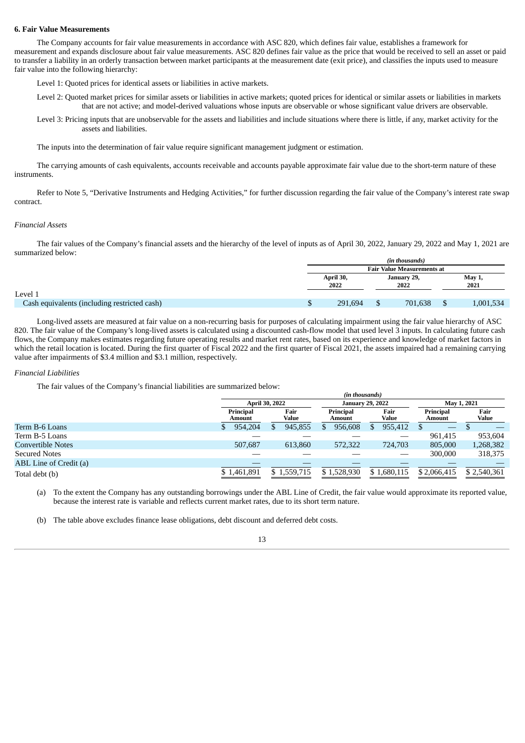#### **6. Fair Value Measurements**

The Company accounts for fair value measurements in accordance with ASC 820, which defines fair value, establishes a framework for measurement and expands disclosure about fair value measurements. ASC 820 defines fair value as the price that would be received to sell an asset or paid to transfer a liability in an orderly transaction between market participants at the measurement date (exit price), and classifies the inputs used to measure fair value into the following hierarchy:

Level 1: Quoted prices for identical assets or liabilities in active markets.

- Level 2: Quoted market prices for similar assets or liabilities in active markets; quoted prices for identical or similar assets or liabilities in markets that are not active; and model-derived valuations whose inputs are observable or whose significant value drivers are observable.
- Level 3: Pricing inputs that are unobservable for the assets and liabilities and include situations where there is little, if any, market activity for the assets and liabilities.

The inputs into the determination of fair value require significant management judgment or estimation.

The carrying amounts of cash equivalents, accounts receivable and accounts payable approximate fair value due to the short-term nature of these instruments.

Refer to Note 5, "Derivative Instruments and Hedging Activities," for further discussion regarding the fair value of the Company's interest rate swap contract.

#### *Financial Assets*

The fair values of the Company's financial assets and the hierarchy of the level of inputs as of April 30, 2022, January 29, 2022 and May 1, 2021 are summarized below:

|                                              | (in thousands)                    |  |                     |  |                |  |
|----------------------------------------------|-----------------------------------|--|---------------------|--|----------------|--|
|                                              | <b>Fair Value Measurements at</b> |  |                     |  |                |  |
|                                              | April 30,<br>2022                 |  | January 29,<br>2022 |  | May 1,<br>2021 |  |
| Level 1                                      |                                   |  |                     |  |                |  |
| Cash equivalents (including restricted cash) | 291.694                           |  | 701,638             |  | 1,001,534      |  |
|                                              |                                   |  |                     |  |                |  |

Long-lived assets are measured at fair value on a non-recurring basis for purposes of calculating impairment using the fair value hierarchy of ASC 820. The fair value of the Company's long-lived assets is calculated using a discounted cash-flow model that used level 3 inputs. In calculating future cash flows, the Company makes estimates regarding future operating results and market rent rates, based on its experience and knowledge of market factors in which the retail location is located. During the first quarter of Fiscal 2022 and the first quarter of Fiscal 2021, the assets impaired had a remaining carrying value after impairments of \$3.4 million and \$3.1 million, respectively.

## *Financial Liabilities*

The fair values of the Company's financial liabilities are summarized below:

|                          | (in thousands)      |                                             |             |                         |             |               |  |  |  |  |
|--------------------------|---------------------|---------------------------------------------|-------------|-------------------------|-------------|---------------|--|--|--|--|
|                          |                     | <b>April 30, 2022</b>                       |             | <b>January 29, 2022</b> |             | May 1, 2021   |  |  |  |  |
|                          | Principal<br>Amount | Fair<br>Principal<br><b>Value</b><br>Amount |             | Fair<br>Value           |             | Fair<br>Value |  |  |  |  |
| Term B-6 Loans           | 954,204             | 945,855                                     | 956,608     | 955,412                 |             |               |  |  |  |  |
| Term B-5 Loans           |                     |                                             |             |                         | 961.415     | 953.604       |  |  |  |  |
| <b>Convertible Notes</b> | 507.687             | 613.860                                     | 572,322     | 724,703                 | 805,000     | 1,268,382     |  |  |  |  |
| <b>Secured Notes</b>     |                     |                                             |             |                         | 300,000     | 318,375       |  |  |  |  |
| ABL Line of Credit (a)   |                     |                                             |             |                         |             |               |  |  |  |  |
| Total debt (b)           | \$1,461,891         | \$1,559,715                                 | \$1,528,930 | \$1,680,115             | \$2,066,415 | \$2,540,361   |  |  |  |  |

(a) To the extent the Company has any outstanding borrowings under the ABL Line of Credit, the fair value would approximate its reported value, because the interest rate is variable and reflects current market rates, due to its short term nature.

(b) The table above excludes finance lease obligations, debt discount and deferred debt costs.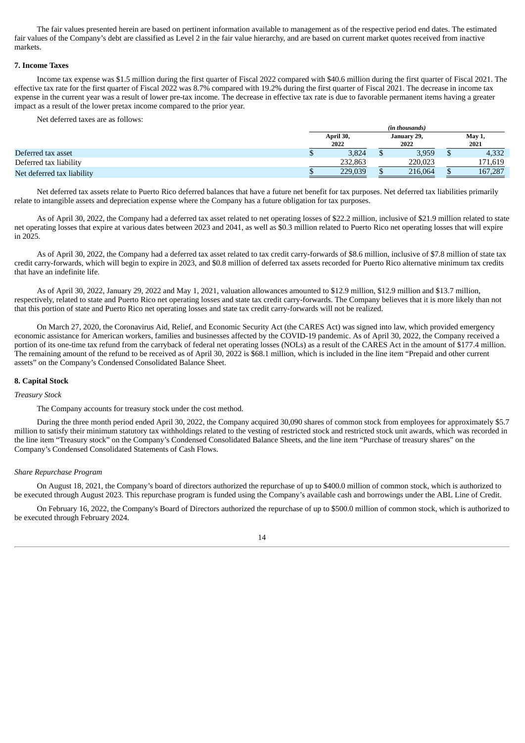The fair values presented herein are based on pertinent information available to management as of the respective period end dates. The estimated fair values of the Company's debt are classified as Level 2 in the fair value hierarchy, and are based on current market quotes received from inactive markets.

## **7. Income Taxes**

Income tax expense was \$1.5 million during the first quarter of Fiscal 2022 compared with \$40.6 million during the first quarter of Fiscal 2021. The effective tax rate for the first quarter of Fiscal 2022 was 8.7% compared with 19.2% during the first quarter of Fiscal 2021. The decrease in income tax expense in the current year was a result of lower pre-tax income. The decrease in effective tax rate is due to favorable permanent items having a greater impact as a result of the lower pretax income compared to the prior year.

Net deferred taxes are as follows:

|                            | (in thousands) |           |             |         |  |         |
|----------------------------|----------------|-----------|-------------|---------|--|---------|
|                            |                | April 30, | January 29, |         |  | May 1,  |
|                            |                | 2022      |             | 2022    |  | 2021    |
| Deferred tax asset         |                | 3,824     |             | 3,959   |  | 4,332   |
| Deferred tax liability     |                | 232,863   |             | 220.023 |  | 171.619 |
| Net deferred tax liability |                | 229,039   |             | 216,064 |  | 167,287 |

Net deferred tax assets relate to Puerto Rico deferred balances that have a future net benefit for tax purposes. Net deferred tax liabilities primarily relate to intangible assets and depreciation expense where the Company has a future obligation for tax purposes.

As of April 30, 2022, the Company had a deferred tax asset related to net operating losses of \$22.2 million, inclusive of \$21.9 million related to state net operating losses that expire at various dates between 2023 and 2041, as well as \$0.3 million related to Puerto Rico net operating losses that will expire in 2025.

As of April 30, 2022, the Company had a deferred tax asset related to tax credit carry-forwards of \$8.6 million, inclusive of \$7.8 million of state tax credit carry-forwards, which will begin to expire in 2023, and \$0.8 million of deferred tax assets recorded for Puerto Rico alternative minimum tax credits that have an indefinite life.

As of April 30, 2022, January 29, 2022 and May 1, 2021, valuation allowances amounted to \$12.9 million, \$12.9 million and \$13.7 million, respectively, related to state and Puerto Rico net operating losses and state tax credit carry-forwards. The Company believes that it is more likely than not that this portion of state and Puerto Rico net operating losses and state tax credit carry-forwards will not be realized.

On March 27, 2020, the Coronavirus Aid, Relief, and Economic Security Act (the CARES Act) was signed into law, which provided emergency economic assistance for American workers, families and businesses affected by the COVID-19 pandemic. As of April 30, 2022, the Company received a portion of its one-time tax refund from the carryback of federal net operating losses (NOLs) as a result of the CARES Act in the amount of \$177.4 million. The remaining amount of the refund to be received as of April 30, 2022 is \$68.1 million, which is included in the line item "Prepaid and other current assets" on the Company's Condensed Consolidated Balance Sheet.

## **8. Capital Stock**

## *Treasury Stock*

The Company accounts for treasury stock under the cost method.

During the three month period ended April 30, 2022, the Company acquired 30,090 shares of common stock from employees for approximately \$5.7 million to satisfy their minimum statutory tax withholdings related to the vesting of restricted stock and restricted stock unit awards, which was recorded in the line item "Treasury stock" on the Company's Condensed Consolidated Balance Sheets, and the line item "Purchase of treasury shares" on the Company's Condensed Consolidated Statements of Cash Flows.

#### *Share Repurchase Program*

On August 18, 2021, the Company's board of directors authorized the repurchase of up to \$400.0 million of common stock, which is authorized to be executed through August 2023. This repurchase program is funded using the Company's available cash and borrowings under the ABL Line of Credit.

On February 16, 2022, the Company's Board of Directors authorized the repurchase of up to \$500.0 million of common stock, which is authorized to be executed through February 2024.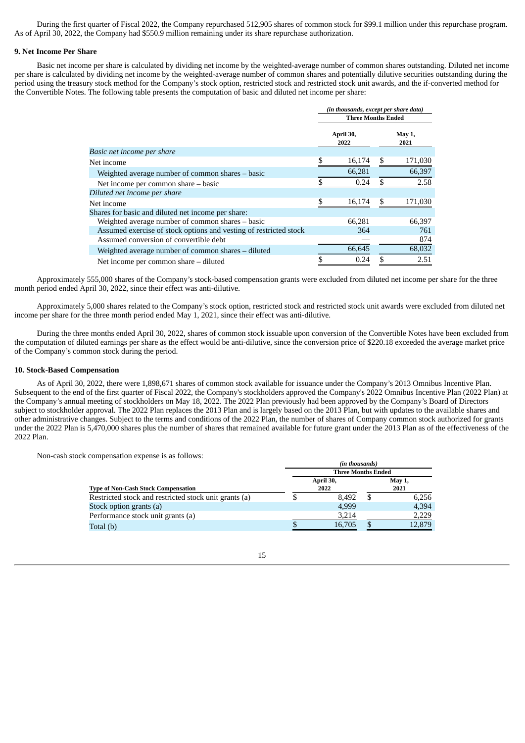During the first quarter of Fiscal 2022, the Company repurchased 512,905 shares of common stock for \$99.1 million under this repurchase program. As of April 30, 2022, the Company had \$550.9 million remaining under its share repurchase authorization.

## **9. Net Income Per Share**

Basic net income per share is calculated by dividing net income by the weighted-average number of common shares outstanding. Diluted net income per share is calculated by dividing net income by the weighted-average number of common shares and potentially dilutive securities outstanding during the period using the treasury stock method for the Company's stock option, restricted stock and restricted stock unit awards, and the if-converted method for the Convertible Notes. The following table presents the computation of basic and diluted net income per share:

|                                                                   | (in thousands, except per share data) |                   |  |                |
|-------------------------------------------------------------------|---------------------------------------|-------------------|--|----------------|
|                                                                   | <b>Three Months Ended</b>             |                   |  |                |
|                                                                   |                                       | April 30,<br>2022 |  | May 1,<br>2021 |
| Basic net income per share                                        |                                       |                   |  |                |
| Net income                                                        |                                       | 16,174            |  | 171,030        |
| Weighted average number of common shares – basic                  |                                       | 66,281            |  | 66,397         |
| Net income per common share - basic                               |                                       | 0.24              |  | 2.58           |
| Diluted net income per share                                      |                                       |                   |  |                |
| Net income                                                        |                                       | 16,174            |  | 171,030        |
| Shares for basic and diluted net income per share:                |                                       |                   |  |                |
| Weighted average number of common shares - basic                  |                                       | 66,281            |  | 66,397         |
| Assumed exercise of stock options and vesting of restricted stock |                                       | 364               |  | 761            |
| Assumed conversion of convertible debt                            |                                       |                   |  | 874            |
| Weighted average number of common shares - diluted                |                                       | 66,645            |  | 68,032         |
| Net income per common share – diluted                             |                                       | 0.24              |  | 2.51           |

Approximately 555,000 shares of the Company's stock-based compensation grants were excluded from diluted net income per share for the three month period ended April 30, 2022, since their effect was anti-dilutive.

Approximately 5,000 shares related to the Company's stock option, restricted stock and restricted stock unit awards were excluded from diluted net income per share for the three month period ended May 1, 2021, since their effect was anti-dilutive.

During the three months ended April 30, 2022, shares of common stock issuable upon conversion of the Convertible Notes have been excluded from the computation of diluted earnings per share as the effect would be anti-dilutive, since the conversion price of \$220.18 exceeded the average market price of the Company's common stock during the period.

#### **10. Stock-Based Compensation**

As of April 30, 2022, there were 1,898,671 shares of common stock available for issuance under the Company's 2013 Omnibus Incentive Plan. Subsequent to the end of the first quarter of Fiscal 2022, the Company's stockholders approved the Company's 2022 Omnibus Incentive Plan (2022 Plan) at the Company's annual meeting of stockholders on May 18, 2022. The 2022 Plan previously had been approved by the Company's Board of Directors subject to stockholder approval. The 2022 Plan replaces the 2013 Plan and is largely based on the 2013 Plan, but with updates to the available shares and other administrative changes. Subject to the terms and conditions of the 2022 Plan, the number of shares of Company common stock authorized for grants under the 2022 Plan is 5,470,000 shares plus the number of shares that remained available for future grant under the 2013 Plan as of the effectiveness of the 2022 Plan.

Non-cash stock compensation expense is as follows:

|                                                       |                           | (in thousands) |        |        |  |  |  |  |  |  |
|-------------------------------------------------------|---------------------------|----------------|--------|--------|--|--|--|--|--|--|
|                                                       | <b>Three Months Ended</b> |                |        |        |  |  |  |  |  |  |
|                                                       |                           | April 30,      | May 1, |        |  |  |  |  |  |  |
| <b>Type of Non-Cash Stock Compensation</b>            |                           | 2022           |        | 2021   |  |  |  |  |  |  |
| Restricted stock and restricted stock unit grants (a) |                           | 8.492          |        | 6,256  |  |  |  |  |  |  |
| Stock option grants (a)                               |                           | 4.999          |        | 4,394  |  |  |  |  |  |  |
| Performance stock unit grants (a)                     |                           | 3,214          |        | 2,229  |  |  |  |  |  |  |
| Total (b)                                             | п.                        | 16,705         |        | 12,879 |  |  |  |  |  |  |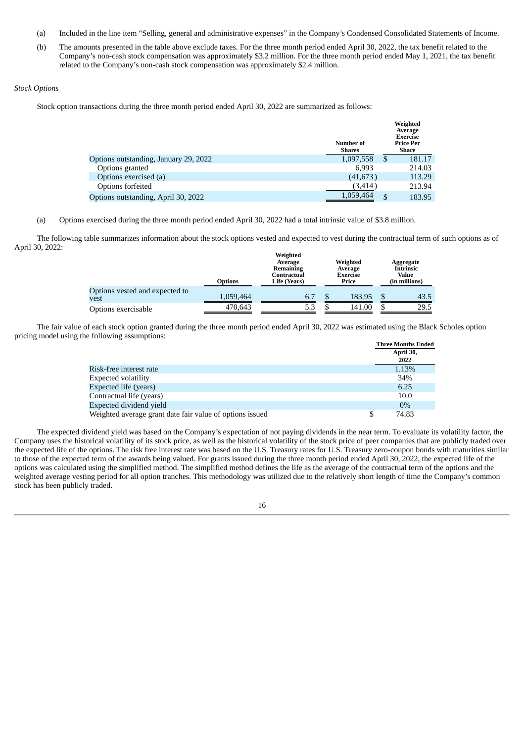- (a) Included in the line item "Selling, general and administrative expenses" in the Company's Condensed Consolidated Statements of Income.
- (b) The amounts presented in the table above exclude taxes. For the three month period ended April 30, 2022, the tax benefit related to the Company's non-cash stock compensation was approximately \$3.2 million. For the three month period ended May 1, 2021, the tax benefit related to the Company's non-cash stock compensation was approximately \$2.4 million.

## *Stock Options*

Stock option transactions during the three month period ended April 30, 2022 are summarized as follows:

|                                       | Number of<br><b>Shares</b> | Weighted<br>Average<br><b>Exercise</b><br><b>Price Per</b><br>Share |
|---------------------------------------|----------------------------|---------------------------------------------------------------------|
| Options outstanding, January 29, 2022 | 1,097,558                  | \$<br>181.17                                                        |
| Options granted                       | 6.993                      | 214.03                                                              |
| Options exercised (a)                 | (41, 673)                  | 113.29                                                              |
| Options forfeited                     | (3, 414)                   | 213.94                                                              |
| Options outstanding, April 30, 2022   | 1,059,464                  | \$<br>183.95                                                        |

(a) Options exercised during the three month period ended April 30, 2022 had a total intrinsic value of \$3.8 million.

The following table summarizes information about the stock options vested and expected to vest during the contractual term of such options as of April 30, 2022:

|                                        | <b>Options</b> | Weighted<br>Average<br>Remaining<br>Contractual<br>Life (Years) | Weighted<br>Average<br><b>Exercise</b><br>Price |        | Aggregate<br><b>Intrinsic</b><br>Value<br>(in millions) |
|----------------------------------------|----------------|-----------------------------------------------------------------|-------------------------------------------------|--------|---------------------------------------------------------|
| Options vested and expected to<br>vest | 1,059,464      | 6.7                                                             |                                                 | 183.95 | 43.5                                                    |
| Options exercisable                    | 470,643        | 5.3                                                             |                                                 | 141.00 | 29.5                                                    |

The fair value of each stock option granted during the three month period ended April 30, 2022 was estimated using the Black Scholes option pricing model using the following assumptions:

|                                                          | <b>Three Months Ended</b> |
|----------------------------------------------------------|---------------------------|
|                                                          | April 30,<br>2022         |
|                                                          |                           |
| Risk-free interest rate                                  | 1.13%                     |
| <b>Expected volatility</b>                               | 34%                       |
| Expected life (years)                                    | 6.25                      |
| Contractual life (years)                                 | 10.0                      |
| Expected dividend vield                                  | $0\%$                     |
| Weighted average grant date fair value of options issued | 74.83                     |

The expected dividend yield was based on the Company's expectation of not paying dividends in the near term. To evaluate its volatility factor, the Company uses the historical volatility of its stock price, as well as the historical volatility of the stock price of peer companies that are publicly traded over the expected life of the options. The risk free interest rate was based on the U.S. Treasury rates for U.S. Treasury zero-coupon bonds with maturities similar to those of the expected term of the awards being valued. For grants issued during the three month period ended April 30, 2022, the expected life of the options was calculated using the simplified method. The simplified method defines the life as the average of the contractual term of the options and the weighted average vesting period for all option tranches. This methodology was utilized due to the relatively short length of time the Company's common stock has been publicly traded.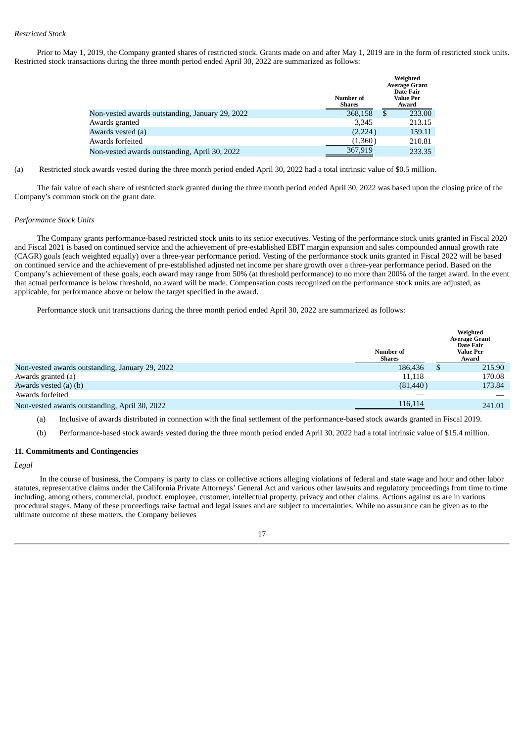Prior to May 1, 2019, the Company granted shares of restricted stock. Grants made on and after May 1, 2019 are in the form of restricted stock units. Restricted stock transactions during the three month period ended April 30, 2022 are summarized as follows:

|                                                 | Number of<br><b>Shares</b> | Weighted<br><b>Average Grant</b><br><b>Date Fair</b><br>Value Per<br>Award |
|-------------------------------------------------|----------------------------|----------------------------------------------------------------------------|
| Non-vested awards outstanding, January 29, 2022 | 368,158                    | \$<br>233.00                                                               |
| Awards granted                                  | 3,345                      | 213.15                                                                     |
| Awards vested (a)                               | (2,224)                    | 159.11                                                                     |
| Awards forfeited                                | (1,360)                    | 210.81                                                                     |
| Non-vested awards outstanding, April 30, 2022   | 367,919                    | 233.35                                                                     |

(a) Restricted stock awards vested during the three month period ended April 30, 2022 had a total intrinsic value of \$0.5 million.

The fair value of each share of restricted stock granted during the three month period ended April 30, 2022 was based upon the closing price of the Company's common stock on the grant date.

## *Performance Stock Units*

The Company grants performance-based restricted stock units to its senior executives. Vesting of the performance stock units granted in Fiscal 2020 and Fiscal 2021 is based on continued service and the achievement of pre-established EBIT margin expansion and sales compounded annual growth rate (CAGR) goals (each weighted equally) over a three-year performance period. Vesting of the performance stock units granted in Fiscal 2022 will be based on continued service and the achievement of pre-established adjusted net income per share growth over a three-year performance period. Based on the Company's achievement of these goals, each award may range from 50% (at threshold performance) to no more than 200% of the target award. In the event that actual performance is below threshold, no award will be made. Compensation costs recognized on the performance stock units are adjusted, as applicable, for performance above or below the target specified in the award.

Performance stock unit transactions during the three month period ended April 30, 2022 are summarized as follows:

|                                                 | <b>Number of</b><br><b>Shares</b> |   | Weighted<br><b>Average Grant</b><br>Date Fair<br><b>Value Per</b><br>Award |
|-------------------------------------------------|-----------------------------------|---|----------------------------------------------------------------------------|
| Non-vested awards outstanding, January 29, 2022 | 186,436                           | S | 215.90                                                                     |
| Awards granted (a)                              | 11,118                            |   | 170.08                                                                     |
| Awards vested (a) (b)                           | (81, 440)                         |   | 173.84                                                                     |
| Awards forfeited                                |                                   |   |                                                                            |
| Non-vested awards outstanding, April 30, 2022   | 116,114                           |   | 241.01                                                                     |

(a) Inclusive of awards distributed in connection with the final settlement of the performance-based stock awards granted in Fiscal 2019.

(b) Performance-based stock awards vested during the three month period ended April 30, 2022 had a total intrinsic value of \$15.4 million.

## **11. Commitments and Contingencies**

#### *Legal*

In the course of business, the Company is party to class or collective actions alleging violations of federal and state wage and hour and other labor statutes, representative claims under the California Private Attorneys' General Act and various other lawsuits and regulatory proceedings from time to time including, among others, commercial, product, employee, customer, intellectual property, privacy and other claims. Actions against us are in various procedural stages. Many of these proceedings raise factual and legal issues and are subject to uncertainties. While no assurance can be given as to the ultimate outcome of these matters, the Company believes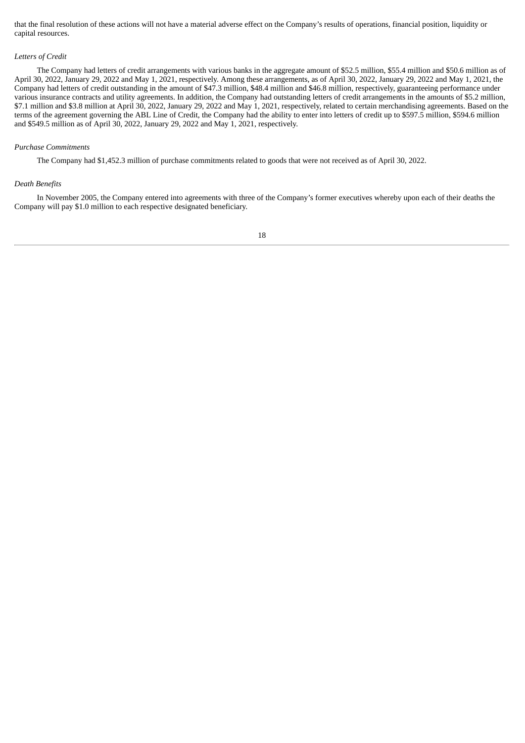that the final resolution of these actions will not have a material adverse effect on the Company's results of operations, financial position, liquidity or capital resources.

#### *Letters of Credit*

The Company had letters of credit arrangements with various banks in the aggregate amount of \$52.5 million, \$55.4 million and \$50.6 million as of April 30, 2022, January 29, 2022 and May 1, 2021, respectively. Among these arrangements, as of April 30, 2022, January 29, 2022 and May 1, 2021, the Company had letters of credit outstanding in the amount of \$47.3 million, \$48.4 million and \$46.8 million, respectively, guaranteeing performance under various insurance contracts and utility agreements. In addition, the Company had outstanding letters of credit arrangements in the amounts of \$5.2 million, \$7.1 million and \$3.8 million at April 30, 2022, January 29, 2022 and May 1, 2021, respectively, related to certain merchandising agreements. Based on the terms of the agreement governing the ABL Line of Credit, the Company had the ability to enter into letters of credit up to \$597.5 million, \$594.6 million and \$549.5 million as of April 30, 2022, January 29, 2022 and May 1, 2021, respectively.

## *Purchase Commitments*

The Company had \$1,452.3 million of purchase commitments related to goods that were not received as of April 30, 2022.

## *Death Benefits*

In November 2005, the Company entered into agreements with three of the Company's former executives whereby upon each of their deaths the Company will pay \$1.0 million to each respective designated beneficiary.

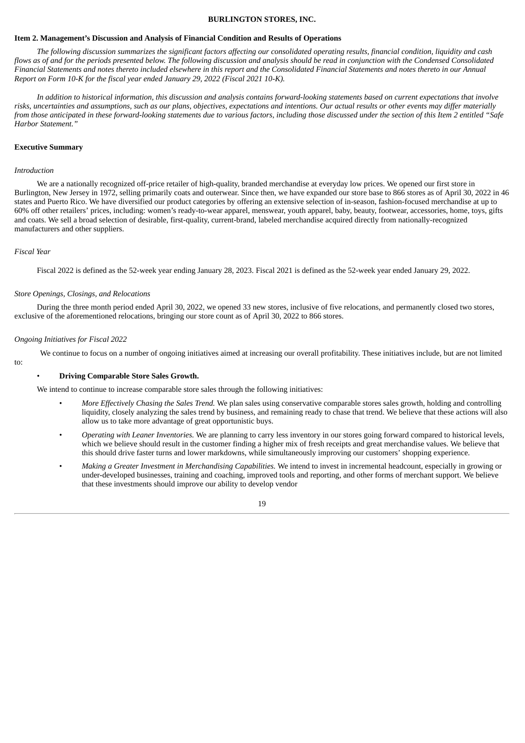#### **BURLINGTON STORES, INC.**

#### <span id="page-18-0"></span>**Item 2. Management's Discussion and Analysis of Financial Condition and Results of Operations**

The following discussion summarizes the significant factors affecting our consolidated operating results, financial condition, liquidity and cash flows as of and for the periods presented below. The following discussion and analysis should be read in conjunction with the Condensed Consolidated Financial Statements and notes thereto included elsewhere in this report and the Consolidated Financial Statements and notes thereto in our Annual *Report on Form 10-K for the fiscal year ended January 29, 2022 (Fiscal 2021 10-K).*

In addition to historical information, this discussion and analysis contains forward-looking statements based on current expectations that involve risks, uncertainties and assumptions, such as our plans, objectives, expectations and intentions. Our actual results or other events may differ materially from those anticipated in these forward-looking statements due to various factors, including those discussed under the section of this Item 2 entitled "Safe *Harbor Statement."*

#### **Executive Summary**

#### *Introduction*

We are a nationally recognized off-price retailer of high-quality, branded merchandise at everyday low prices. We opened our first store in Burlington, New Jersey in 1972, selling primarily coats and outerwear. Since then, we have expanded our store base to 866 stores as of April 30, 2022 in 46 states and Puerto Rico. We have diversified our product categories by offering an extensive selection of in-season, fashion-focused merchandise at up to 60% off other retailers' prices, including: women's ready-to-wear apparel, menswear, youth apparel, baby, beauty, footwear, accessories, home, toys, gifts and coats. We sell a broad selection of desirable, first-quality, current-brand, labeled merchandise acquired directly from nationally-recognized manufacturers and other suppliers.

#### *Fiscal Year*

Fiscal 2022 is defined as the 52-week year ending January 28, 2023. Fiscal 2021 is defined as the 52-week year ended January 29, 2022.

#### *Store Openings, Closings, and Relocations*

During the three month period ended April 30, 2022, we opened 33 new stores, inclusive of five relocations, and permanently closed two stores, exclusive of the aforementioned relocations, bringing our store count as of April 30, 2022 to 866 stores.

#### *Ongoing Initiatives for Fiscal 2022*

We continue to focus on a number of ongoing initiatives aimed at increasing our overall profitability. These initiatives include, but are not limited to:

#### • **Driving Comparable Store Sales Growth.**

We intend to continue to increase comparable store sales through the following initiatives:

- *More Effectively Chasing the Sales Trend.* We plan sales using conservative comparable stores sales growth, holding and controlling liquidity, closely analyzing the sales trend by business, and remaining ready to chase that trend. We believe that these actions will also allow us to take more advantage of great opportunistic buys.
- *Operating with Leaner Inventories.* We are planning to carry less inventory in our stores going forward compared to historical levels, which we believe should result in the customer finding a higher mix of fresh receipts and great merchandise values. We believe that this should drive faster turns and lower markdowns, while simultaneously improving our customers' shopping experience.
- *Making a Greater Investment in Merchandising Capabilities.* We intend to invest in incremental headcount, especially in growing or under-developed businesses, training and coaching, improved tools and reporting, and other forms of merchant support. We believe that these investments should improve our ability to develop vendor

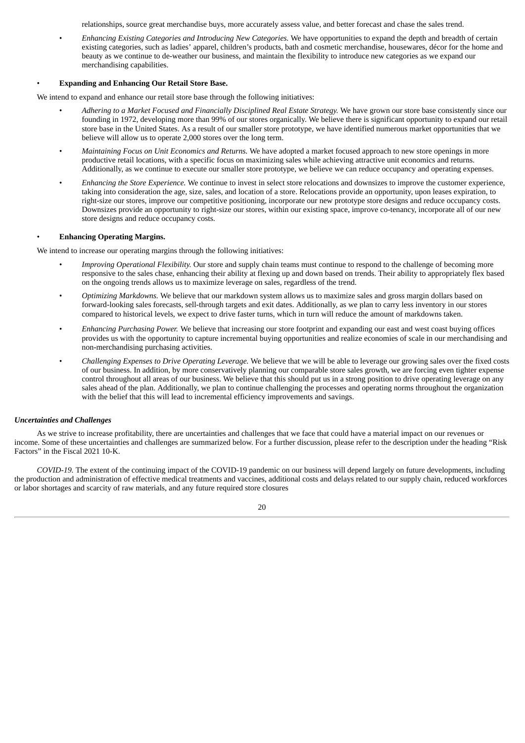relationships, source great merchandise buys, more accurately assess value, and better forecast and chase the sales trend.

• *Enhancing Existing Categories and Introducing New Categories.* We have opportunities to expand the depth and breadth of certain existing categories, such as ladies' apparel, children's products, bath and cosmetic merchandise, housewares, décor for the home and beauty as we continue to de-weather our business, and maintain the flexibility to introduce new categories as we expand our merchandising capabilities.

## • **Expanding and Enhancing Our Retail Store Base.**

We intend to expand and enhance our retail store base through the following initiatives:

- *Adhering to a Market Focused and Financially Disciplined Real Estate Strategy.* We have grown our store base consistently since our founding in 1972, developing more than 99% of our stores organically. We believe there is significant opportunity to expand our retail store base in the United States. As a result of our smaller store prototype, we have identified numerous market opportunities that we believe will allow us to operate 2,000 stores over the long term.
- *Maintaining Focus on Unit Economics and Returns.* We have adopted a market focused approach to new store openings in more productive retail locations, with a specific focus on maximizing sales while achieving attractive unit economics and returns. Additionally, as we continue to execute our smaller store prototype, we believe we can reduce occupancy and operating expenses.
- *Enhancing the Store Experience.* We continue to invest in select store relocations and downsizes to improve the customer experience, taking into consideration the age, size, sales, and location of a store. Relocations provide an opportunity, upon leases expiration, to right-size our stores, improve our competitive positioning, incorporate our new prototype store designs and reduce occupancy costs. Downsizes provide an opportunity to right-size our stores, within our existing space, improve co-tenancy, incorporate all of our new store designs and reduce occupancy costs.

## • **Enhancing Operating Margins.**

We intend to increase our operating margins through the following initiatives:

- *Improving Operational Flexibility.* Our store and supply chain teams must continue to respond to the challenge of becoming more responsive to the sales chase, enhancing their ability at flexing up and down based on trends. Their ability to appropriately flex based on the ongoing trends allows us to maximize leverage on sales, regardless of the trend.
- *Optimizing Markdowns.* We believe that our markdown system allows us to maximize sales and gross margin dollars based on forward-looking sales forecasts, sell-through targets and exit dates. Additionally, as we plan to carry less inventory in our stores compared to historical levels, we expect to drive faster turns, which in turn will reduce the amount of markdowns taken.
- *Enhancing Purchasing Power.* We believe that increasing our store footprint and expanding our east and west coast buying offices provides us with the opportunity to capture incremental buying opportunities and realize economies of scale in our merchandising and non-merchandising purchasing activities.
- *Challenging Expenses to Drive Operating Leverage.* We believe that we will be able to leverage our growing sales over the fixed costs of our business. In addition, by more conservatively planning our comparable store sales growth, we are forcing even tighter expense control throughout all areas of our business. We believe that this should put us in a strong position to drive operating leverage on any sales ahead of the plan. Additionally, we plan to continue challenging the processes and operating norms throughout the organization with the belief that this will lead to incremental efficiency improvements and savings.

## *Uncertainties and Challenges*

As we strive to increase profitability, there are uncertainties and challenges that we face that could have a material impact on our revenues or income. Some of these uncertainties and challenges are summarized below. For a further discussion, please refer to the description under the heading "Risk Factors" in the Fiscal 2021 10-K.

*COVID-19.* The extent of the continuing impact of the COVID-19 pandemic on our business will depend largely on future developments, including the production and administration of effective medical treatments and vaccines, additional costs and delays related to our supply chain, reduced workforces or labor shortages and scarcity of raw materials, and any future required store closures

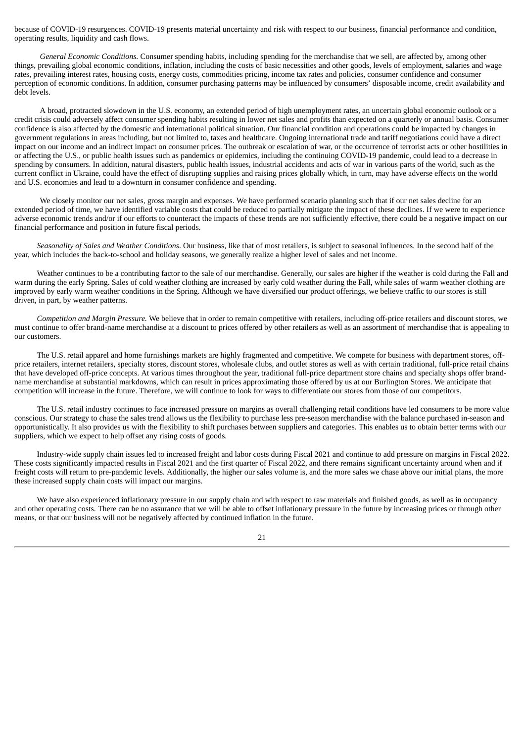because of COVID-19 resurgences. COVID-19 presents material uncertainty and risk with respect to our business, financial performance and condition, operating results, liquidity and cash flows.

*General Economic Conditions.* Consumer spending habits, including spending for the merchandise that we sell, are affected by, among other things, prevailing global economic conditions, inflation, including the costs of basic necessities and other goods, levels of employment, salaries and wage rates, prevailing interest rates, housing costs, energy costs, commodities pricing, income tax rates and policies, consumer confidence and consumer perception of economic conditions. In addition, consumer purchasing patterns may be influenced by consumers' disposable income, credit availability and debt levels.

A broad, protracted slowdown in the U.S. economy, an extended period of high unemployment rates, an uncertain global economic outlook or a credit crisis could adversely affect consumer spending habits resulting in lower net sales and profits than expected on a quarterly or annual basis. Consumer confidence is also affected by the domestic and international political situation. Our financial condition and operations could be impacted by changes in government regulations in areas including, but not limited to, taxes and healthcare. Ongoing international trade and tariff negotiations could have a direct impact on our income and an indirect impact on consumer prices. The outbreak or escalation of war, or the occurrence of terrorist acts or other hostilities in or affecting the U.S., or public health issues such as pandemics or epidemics, including the continuing COVID-19 pandemic, could lead to a decrease in spending by consumers. In addition, natural disasters, public health issues, industrial accidents and acts of war in various parts of the world, such as the current conflict in Ukraine, could have the effect of disrupting supplies and raising prices globally which, in turn, may have adverse effects on the world and U.S. economies and lead to a downturn in consumer confidence and spending.

We closely monitor our net sales, gross margin and expenses. We have performed scenario planning such that if our net sales decline for an extended period of time, we have identified variable costs that could be reduced to partially mitigate the impact of these declines. If we were to experience adverse economic trends and/or if our efforts to counteract the impacts of these trends are not sufficiently effective, there could be a negative impact on our financial performance and position in future fiscal periods.

*Seasonality of Sales and Weather Conditions*. Our business, like that of most retailers, is subject to seasonal influences. In the second half of the year, which includes the back-to-school and holiday seasons, we generally realize a higher level of sales and net income.

Weather continues to be a contributing factor to the sale of our merchandise. Generally, our sales are higher if the weather is cold during the Fall and warm during the early Spring. Sales of cold weather clothing are increased by early cold weather during the Fall, while sales of warm weather clothing are improved by early warm weather conditions in the Spring. Although we have diversified our product offerings, we believe traffic to our stores is still driven, in part, by weather patterns.

*Competition and Margin Pressure.* We believe that in order to remain competitive with retailers, including off-price retailers and discount stores, we must continue to offer brand-name merchandise at a discount to prices offered by other retailers as well as an assortment of merchandise that is appealing to our customers.

The U.S. retail apparel and home furnishings markets are highly fragmented and competitive. We compete for business with department stores, offprice retailers, internet retailers, specialty stores, discount stores, wholesale clubs, and outlet stores as well as with certain traditional, full-price retail chains that have developed off-price concepts. At various times throughout the year, traditional full-price department store chains and specialty shops offer brandname merchandise at substantial markdowns, which can result in prices approximating those offered by us at our Burlington Stores. We anticipate that competition will increase in the future. Therefore, we will continue to look for ways to differentiate our stores from those of our competitors.

The U.S. retail industry continues to face increased pressure on margins as overall challenging retail conditions have led consumers to be more value conscious. Our strategy to chase the sales trend allows us the flexibility to purchase less pre-season merchandise with the balance purchased in-season and opportunistically. It also provides us with the flexibility to shift purchases between suppliers and categories. This enables us to obtain better terms with our suppliers, which we expect to help offset any rising costs of goods.

Industry-wide supply chain issues led to increased freight and labor costs during Fiscal 2021 and continue to add pressure on margins in Fiscal 2022. These costs significantly impacted results in Fiscal 2021 and the first quarter of Fiscal 2022, and there remains significant uncertainty around when and if freight costs will return to pre-pandemic levels. Additionally, the higher our sales volume is, and the more sales we chase above our initial plans, the more these increased supply chain costs will impact our margins.

We have also experienced inflationary pressure in our supply chain and with respect to raw materials and finished goods, as well as in occupancy and other operating costs. There can be no assurance that we will be able to offset inflationary pressure in the future by increasing prices or through other means, or that our business will not be negatively affected by continued inflation in the future.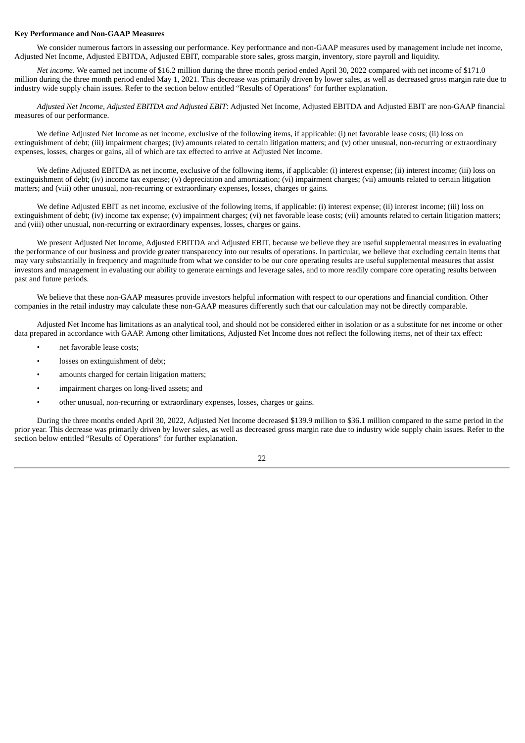#### **Key Performance and Non-GAAP Measures**

We consider numerous factors in assessing our performance. Key performance and non-GAAP measures used by management include net income, Adjusted Net Income, Adjusted EBITDA, Adjusted EBIT, comparable store sales, gross margin, inventory, store payroll and liquidity.

*Net income*. We earned net income of \$16.2 million during the three month period ended April 30, 2022 compared with net income of \$171.0 million during the three month period ended May 1, 2021. This decrease was primarily driven by lower sales, as well as decreased gross margin rate due to industry wide supply chain issues. Refer to the section below entitled "Results of Operations" for further explanation.

*Adjusted Net Income, Adjusted EBITDA and Adjusted EBIT*: Adjusted Net Income, Adjusted EBITDA and Adjusted EBIT are non-GAAP financial measures of our performance.

We define Adjusted Net Income as net income, exclusive of the following items, if applicable: (i) net favorable lease costs; (ii) loss on extinguishment of debt; (iii) impairment charges; (iv) amounts related to certain litigation matters; and (v) other unusual, non-recurring or extraordinary expenses, losses, charges or gains, all of which are tax effected to arrive at Adjusted Net Income.

We define Adjusted EBITDA as net income, exclusive of the following items, if applicable: (i) interest expense; (ii) interest income; (iii) loss on extinguishment of debt; (iv) income tax expense; (v) depreciation and amortization; (vi) impairment charges; (vii) amounts related to certain litigation matters; and (viii) other unusual, non-recurring or extraordinary expenses, losses, charges or gains.

We define Adjusted EBIT as net income, exclusive of the following items, if applicable: (i) interest expense; (ii) interest income; (iii) loss on extinguishment of debt; (iv) income tax expense; (v) impairment charges; (vi) net favorable lease costs; (vii) amounts related to certain litigation matters; and (viii) other unusual, non-recurring or extraordinary expenses, losses, charges or gains.

We present Adjusted Net Income, Adjusted EBITDA and Adjusted EBIT, because we believe they are useful supplemental measures in evaluating the performance of our business and provide greater transparency into our results of operations. In particular, we believe that excluding certain items that may vary substantially in frequency and magnitude from what we consider to be our core operating results are useful supplemental measures that assist investors and management in evaluating our ability to generate earnings and leverage sales, and to more readily compare core operating results between past and future periods.

We believe that these non-GAAP measures provide investors helpful information with respect to our operations and financial condition. Other companies in the retail industry may calculate these non-GAAP measures differently such that our calculation may not be directly comparable.

Adjusted Net Income has limitations as an analytical tool, and should not be considered either in isolation or as a substitute for net income or other data prepared in accordance with GAAP. Among other limitations, Adjusted Net Income does not reflect the following items, net of their tax effect:

- net favorable lease costs;
- losses on extinguishment of debt;
- amounts charged for certain litigation matters:
- impairment charges on long-lived assets; and
- other unusual, non-recurring or extraordinary expenses, losses, charges or gains.

During the three months ended April 30, 2022, Adjusted Net Income decreased \$139.9 million to \$36.1 million compared to the same period in the prior year. This decrease was primarily driven by lower sales, as well as decreased gross margin rate due to industry wide supply chain issues. Refer to the section below entitled "Results of Operations" for further explanation.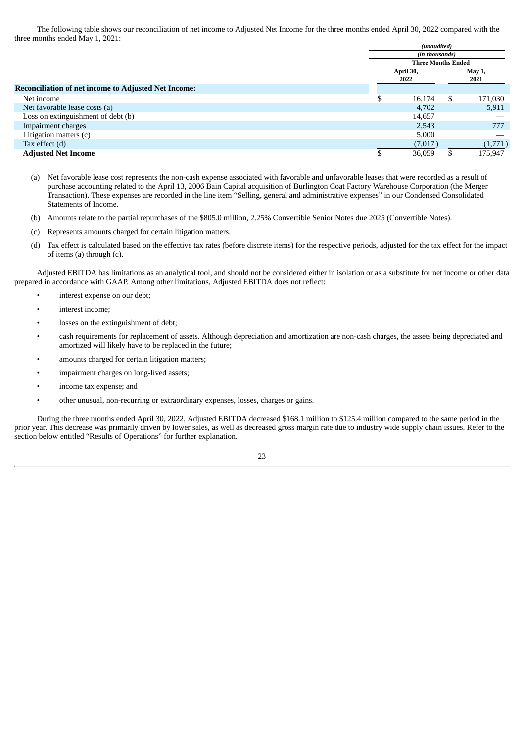The following table shows our reconciliation of net income to Adjusted Net Income for the three months ended April 30, 2022 compared with the three months ended May 1, 2021: *(unaudited)*

|                                                             | (unauanea) |                                             |    |         |
|-------------------------------------------------------------|------------|---------------------------------------------|----|---------|
|                                                             |            | (in thousands)<br><b>Three Months Ended</b> |    |         |
|                                                             |            |                                             |    |         |
|                                                             |            | April 30,                                   |    | May 1,  |
|                                                             |            | 2022                                        |    | 2021    |
| <b>Reconciliation of net income to Adjusted Net Income:</b> |            |                                             |    |         |
| Net income                                                  |            | 16,174                                      | \$ | 171,030 |
| Net favorable lease costs (a)                               |            | 4,702                                       |    | 5,911   |
| Loss on extinguishment of debt (b)                          |            | 14,657                                      |    |         |
| Impairment charges                                          |            | 2,543                                       |    | 777     |
| Litigation matters (c)                                      |            | 5,000                                       |    |         |
| Tax effect $(d)$                                            |            | (7,017)                                     |    | (1,771) |
| <b>Adjusted Net Income</b>                                  |            | 36,059                                      |    | 175,947 |
|                                                             |            |                                             |    |         |

- (a) Net favorable lease cost represents the non-cash expense associated with favorable and unfavorable leases that were recorded as a result of purchase accounting related to the April 13, 2006 Bain Capital acquisition of Burlington Coat Factory Warehouse Corporation (the Merger Transaction). These expenses are recorded in the line item "Selling, general and administrative expenses" in our Condensed Consolidated Statements of Income.
- (b) Amounts relate to the partial repurchases of the \$805.0 million, 2.25% Convertible Senior Notes due 2025 (Convertible Notes).
- (c) Represents amounts charged for certain litigation matters.
- (d) Tax effect is calculated based on the effective tax rates (before discrete items) for the respective periods, adjusted for the tax effect for the impact of items (a) through (c).

Adjusted EBITDA has limitations as an analytical tool, and should not be considered either in isolation or as a substitute for net income or other data prepared in accordance with GAAP. Among other limitations, Adjusted EBITDA does not reflect:

- interest expense on our debt;
- interest income;
- losses on the extinguishment of debt;
- cash requirements for replacement of assets. Although depreciation and amortization are non-cash charges, the assets being depreciated and amortized will likely have to be replaced in the future;
- amounts charged for certain litigation matters;
- impairment charges on long-lived assets;
- income tax expense; and
- other unusual, non-recurring or extraordinary expenses, losses, charges or gains.

During the three months ended April 30, 2022, Adjusted EBITDA decreased \$168.1 million to \$125.4 million compared to the same period in the prior year. This decrease was primarily driven by lower sales, as well as decreased gross margin rate due to industry wide supply chain issues. Refer to the section below entitled "Results of Operations" for further explanation.

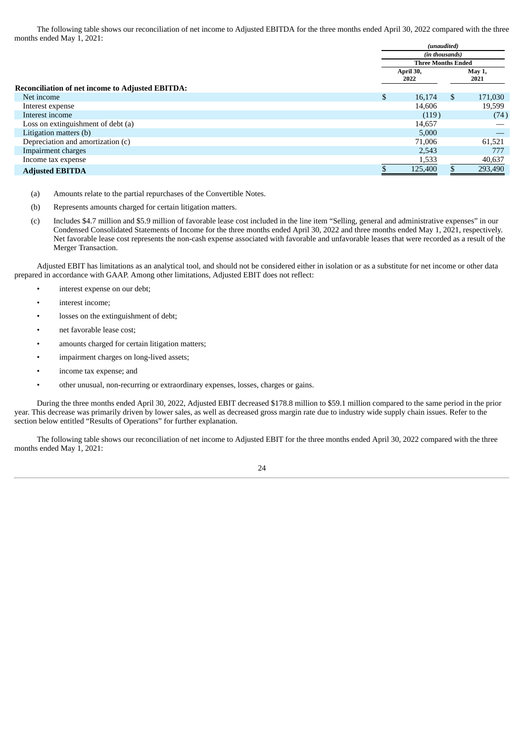The following table shows our reconciliation of net income to Adjusted EBITDA for the three months ended April 30, 2022 compared with the three months ended May 1, 2021: *(unaudited)*

|                                                         | (unauanea) |                                             |     |                |
|---------------------------------------------------------|------------|---------------------------------------------|-----|----------------|
|                                                         |            | (in thousands)<br><b>Three Months Ended</b> |     |                |
|                                                         |            |                                             |     |                |
|                                                         |            | April 30,<br>2022                           |     | May 1,<br>2021 |
| <b>Reconciliation of net income to Adjusted EBITDA:</b> |            |                                             |     |                |
| Net income                                              | \$         | 16.174                                      | \$. | 171,030        |
| Interest expense                                        |            | 14,606                                      |     | 19,599         |
| Interest income                                         |            | (119)                                       |     | (74)           |
| Loss on extinguishment of debt (a)                      |            | 14,657                                      |     |                |
| Litigation matters (b)                                  |            | 5,000                                       |     |                |
| Depreciation and amortization (c)                       |            | 71,006                                      |     | 61,521         |
| Impairment charges                                      |            | 2,543                                       |     | 777            |
| Income tax expense                                      |            | 1,533                                       |     | 40,637         |
| <b>Adjusted EBITDA</b>                                  |            | 125,400                                     |     | 293,490        |

- (a) Amounts relate to the partial repurchases of the Convertible Notes.
- (b) Represents amounts charged for certain litigation matters.
- (c) Includes \$4.7 million and \$5.9 million of favorable lease cost included in the line item "Selling, general and administrative expenses" in our Condensed Consolidated Statements of Income for the three months ended April 30, 2022 and three months ended May 1, 2021, respectively. Net favorable lease cost represents the non-cash expense associated with favorable and unfavorable leases that were recorded as a result of the Merger Transaction.

Adjusted EBIT has limitations as an analytical tool, and should not be considered either in isolation or as a substitute for net income or other data prepared in accordance with GAAP. Among other limitations, Adjusted EBIT does not reflect:

- interest expense on our debt;
- interest income:
- losses on the extinguishment of debt;
- net favorable lease cost;
- amounts charged for certain litigation matters;
- impairment charges on long-lived assets;
- income tax expense; and
- other unusual, non-recurring or extraordinary expenses, losses, charges or gains.

During the three months ended April 30, 2022, Adjusted EBIT decreased \$178.8 million to \$59.1 million compared to the same period in the prior year. This decrease was primarily driven by lower sales, as well as decreased gross margin rate due to industry wide supply chain issues. Refer to the section below entitled "Results of Operations" for further explanation.

The following table shows our reconciliation of net income to Adjusted EBIT for the three months ended April 30, 2022 compared with the three months ended May 1, 2021:

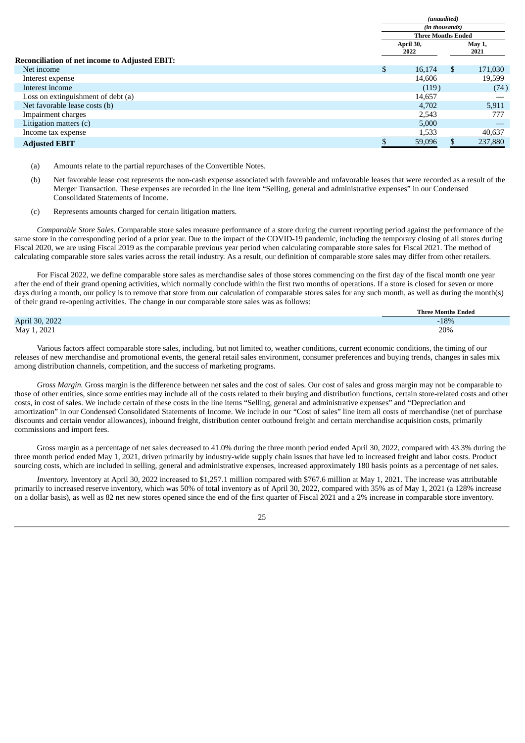|                                                       |           | (unaudited)               |               |               |  |
|-------------------------------------------------------|-----------|---------------------------|---------------|---------------|--|
|                                                       |           | (in thousands)            |               |               |  |
|                                                       |           | <b>Three Months Ended</b> |               |               |  |
|                                                       | April 30, |                           |               | <b>May 1,</b> |  |
|                                                       |           | 2022                      |               | 2021          |  |
| <b>Reconciliation of net income to Adjusted EBIT:</b> |           |                           |               |               |  |
| Net income                                            | \$        | 16,174                    | <sup>\$</sup> | 171,030       |  |
| Interest expense                                      |           | 14,606                    |               | 19,599        |  |
| Interest income                                       |           | (119)                     |               | (74)          |  |
| Loss on extinguishment of debt (a)                    |           | 14,657                    |               |               |  |
| Net favorable lease costs (b)                         |           | 4,702                     |               | 5,911         |  |
| Impairment charges                                    |           | 2,543                     |               | 777           |  |
| Litigation matters (c)                                |           | 5,000                     |               |               |  |
| Income tax expense                                    |           | 1,533                     |               | 40,637        |  |
| <b>Adjusted EBIT</b>                                  |           | 59,096                    |               | 237,880       |  |

- (a) Amounts relate to the partial repurchases of the Convertible Notes.
- (b) Net favorable lease cost represents the non-cash expense associated with favorable and unfavorable leases that were recorded as a result of the Merger Transaction. These expenses are recorded in the line item "Selling, general and administrative expenses" in our Condensed Consolidated Statements of Income.
- (c) Represents amounts charged for certain litigation matters.

*Comparable Store Sales.* Comparable store sales measure performance of a store during the current reporting period against the performance of the same store in the corresponding period of a prior year. Due to the impact of the COVID-19 pandemic, including the temporary closing of all stores during Fiscal 2020, we are using Fiscal 2019 as the comparable previous year period when calculating comparable store sales for Fiscal 2021. The method of calculating comparable store sales varies across the retail industry. As a result, our definition of comparable store sales may differ from other retailers.

For Fiscal 2022, we define comparable store sales as merchandise sales of those stores commencing on the first day of the fiscal month one year after the end of their grand opening activities, which normally conclude within the first two months of operations. If a store is closed for seven or more days during a month, our policy is to remove that store from our calculation of comparable stores sales for any such month, as well as during the month(s) of their grand re-opening activities. The change in our comparable store sales was as follows:

|                | <b>Three Months Ended</b> |
|----------------|---------------------------|
| April 30, 2022 | $-18%$                    |
| May 1, 2021    | 20%                       |

Various factors affect comparable store sales, including, but not limited to, weather conditions, current economic conditions, the timing of our releases of new merchandise and promotional events, the general retail sales environment, consumer preferences and buying trends, changes in sales mix among distribution channels, competition, and the success of marketing programs.

*Gross Margin.* Gross margin is the difference between net sales and the cost of sales. Our cost of sales and gross margin may not be comparable to those of other entities, since some entities may include all of the costs related to their buying and distribution functions, certain store-related costs and other costs, in cost of sales. We include certain of these costs in the line items "Selling, general and administrative expenses" and "Depreciation and amortization" in our Condensed Consolidated Statements of Income. We include in our "Cost of sales" line item all costs of merchandise (net of purchase discounts and certain vendor allowances), inbound freight, distribution center outbound freight and certain merchandise acquisition costs, primarily commissions and import fees.

Gross margin as a percentage of net sales decreased to 41.0% during the three month period ended April 30, 2022, compared with 43.3% during the three month period ended May 1, 2021, driven primarily by industry-wide supply chain issues that have led to increased freight and labor costs. Product sourcing costs, which are included in selling, general and administrative expenses, increased approximately 180 basis points as a percentage of net sales.

*Inventory.* Inventory at April 30, 2022 increased to \$1,257.1 million compared with \$767.6 million at May 1, 2021. The increase was attributable primarily to increased reserve inventory, which was 50% of total inventory as of April 30, 2022, compared with 35% as of May 1, 2021 (a 128% increase on a dollar basis), as well as 82 net new stores opened since the end of the first quarter of Fiscal 2021 and a 2% increase in comparable store inventory.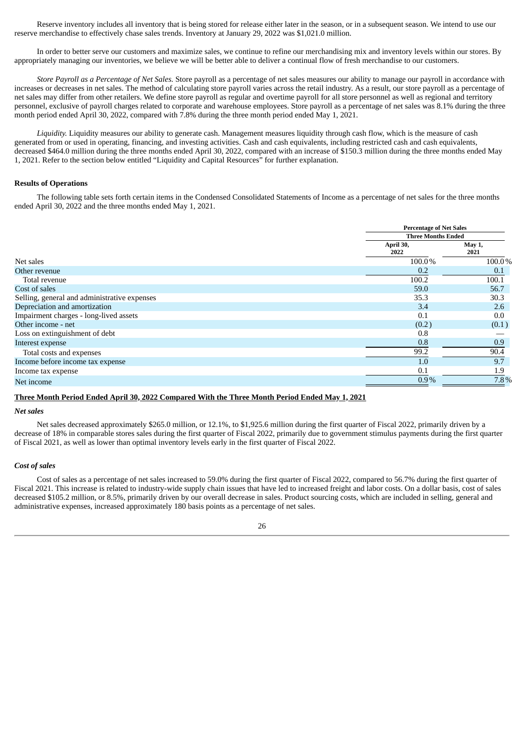Reserve inventory includes all inventory that is being stored for release either later in the season, or in a subsequent season. We intend to use our reserve merchandise to effectively chase sales trends. Inventory at January 29, 2022 was \$1,021.0 million.

In order to better serve our customers and maximize sales, we continue to refine our merchandising mix and inventory levels within our stores. By appropriately managing our inventories, we believe we will be better able to deliver a continual flow of fresh merchandise to our customers.

*Store Payroll as a Percentage of Net Sales.* Store payroll as a percentage of net sales measures our ability to manage our payroll in accordance with increases or decreases in net sales. The method of calculating store payroll varies across the retail industry. As a result, our store payroll as a percentage of net sales may differ from other retailers. We define store payroll as regular and overtime payroll for all store personnel as well as regional and territory personnel, exclusive of payroll charges related to corporate and warehouse employees. Store payroll as a percentage of net sales was 8.1% during the three month period ended April 30, 2022, compared with 7.8% during the three month period ended May 1, 2021.

*Liquidity.* Liquidity measures our ability to generate cash. Management measures liquidity through cash flow, which is the measure of cash generated from or used in operating, financing, and investing activities. Cash and cash equivalents, including restricted cash and cash equivalents, decreased \$464.0 million during the three months ended April 30, 2022, compared with an increase of \$150.3 million during the three months ended May 1, 2021. Refer to the section below entitled "Liquidity and Capital Resources" for further explanation.

### **Results of Operations**

The following table sets forth certain items in the Condensed Consolidated Statements of Income as a percentage of net sales for the three months ended April 30, 2022 and the three months ended May 1, 2021.

|                                              | <b>Percentage of Net Sales</b> |        |  |
|----------------------------------------------|--------------------------------|--------|--|
|                                              | <b>Three Months Ended</b>      |        |  |
|                                              | April 30,                      | May 1, |  |
|                                              | 2022                           | 2021   |  |
| Net sales                                    | 100.0%                         | 100.0% |  |
| Other revenue                                | 0.2                            | 0.1    |  |
| Total revenue                                | 100.2                          | 100.1  |  |
| Cost of sales                                | 59.0                           | 56.7   |  |
| Selling, general and administrative expenses | 35.3                           | 30.3   |  |
| Depreciation and amortization                | 3.4                            | 2.6    |  |
| Impairment charges - long-lived assets       | 0.1                            | 0.0    |  |
| Other income - net                           | (0.2)                          | (0.1)  |  |
| Loss on extinguishment of debt               | 0.8                            |        |  |
| Interest expense                             | 0.8                            | 0.9    |  |
| Total costs and expenses                     | 99.2                           | 90.4   |  |
| Income before income tax expense             | 1.0                            | 9.7    |  |
| Income tax expense                           | 0.1                            | 1.9    |  |
| Net income                                   | $0.9\%$                        | 7.8%   |  |

## **Three Month Period Ended April 30, 2022 Compared With the Three Month Period Ended May 1, 2021**

## *Net sales*

Net sales decreased approximately \$265.0 million, or 12.1%, to \$1,925.6 million during the first quarter of Fiscal 2022, primarily driven by a decrease of 18% in comparable stores sales during the first quarter of Fiscal 2022, primarily due to government stimulus payments during the first quarter of Fiscal 2021, as well as lower than optimal inventory levels early in the first quarter of Fiscal 2022.

#### *Cost of sales*

Cost of sales as a percentage of net sales increased to 59.0% during the first quarter of Fiscal 2022, compared to 56.7% during the first quarter of Fiscal 2021. This increase is related to industry-wide supply chain issues that have led to increased freight and labor costs. On a dollar basis, cost of sales decreased \$105.2 million, or 8.5%, primarily driven by our overall decrease in sales. Product sourcing costs, which are included in selling, general and administrative expenses, increased approximately 180 basis points as a percentage of net sales.

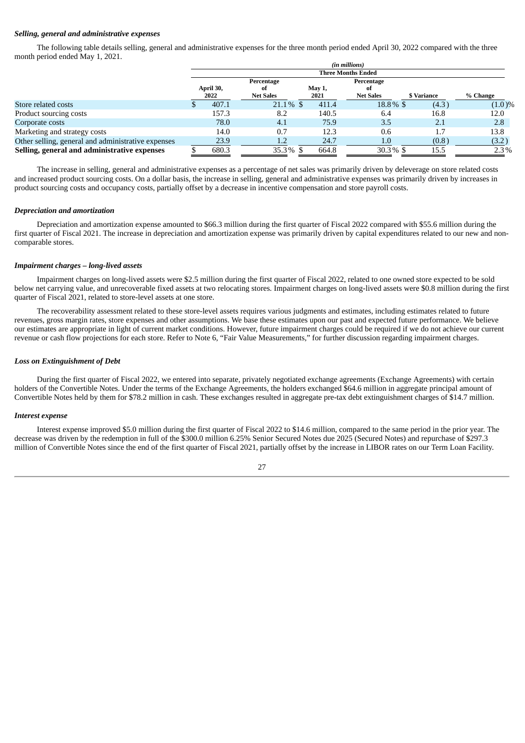#### *Selling, general and administrative expenses*

The following table details selling, general and administrative expenses for the three month period ended April 30, 2022 compared with the three month period ended May 1, 2021.

|                                                    | (in millions)             |                   |                                      |                |                                      |                    |           |  |
|----------------------------------------------------|---------------------------|-------------------|--------------------------------------|----------------|--------------------------------------|--------------------|-----------|--|
|                                                    | <b>Three Months Ended</b> |                   |                                      |                |                                      |                    |           |  |
|                                                    |                           | April 30,<br>2022 | Percentage<br>ot<br><b>Net Sales</b> | May 1,<br>2021 | Percentage<br>0Ì<br><b>Net Sales</b> | <b>\$ Variance</b> | % Change  |  |
| Store related costs                                |                           | 407.1             | $21.1\%$ \$                          | 411.4          | $18.8\%$ \$                          | (4.3)              | $(1.0)\%$ |  |
| Product sourcing costs                             |                           | 157.3             | 8.2                                  | 140.5          | 6.4                                  | 16.8               | 12.0      |  |
| Corporate costs                                    |                           | 78.0              | 4.1                                  | 75.9           | 3.5 <sub>l</sub>                     | 2.1                | 2.8       |  |
| Marketing and strategy costs                       |                           | 14.0              | 0.7                                  | 12.3           | 0.6                                  | 1.7                | 13.8      |  |
| Other selling, general and administrative expenses |                           | 23.9              | 1.2                                  | 24.7           | 1.0                                  | (0.8)              | (3.2)     |  |
| Selling, general and administrative expenses       |                           | 680.3             | $35.3\%$ \$                          | 664.8          | $30.3\%$ \$                          | 15.5               | $2.3\%$   |  |

The increase in selling, general and administrative expenses as a percentage of net sales was primarily driven by deleverage on store related costs and increased product sourcing costs. On a dollar basis, the increase in selling, general and administrative expenses was primarily driven by increases in product sourcing costs and occupancy costs, partially offset by a decrease in incentive compensation and store payroll costs.

## *Depreciation and amortization*

Depreciation and amortization expense amounted to \$66.3 million during the first quarter of Fiscal 2022 compared with \$55.6 million during the first quarter of Fiscal 2021. The increase in depreciation and amortization expense was primarily driven by capital expenditures related to our new and noncomparable stores.

## *Impairment charges – long-lived assets*

Impairment charges on long-lived assets were \$2.5 million during the first quarter of Fiscal 2022, related to one owned store expected to be sold below net carrying value, and unrecoverable fixed assets at two relocating stores. Impairment charges on long-lived assets were \$0.8 million during the first quarter of Fiscal 2021, related to store-level assets at one store.

The recoverability assessment related to these store-level assets requires various judgments and estimates, including estimates related to future revenues, gross margin rates, store expenses and other assumptions. We base these estimates upon our past and expected future performance. We believe our estimates are appropriate in light of current market conditions. However, future impairment charges could be required if we do not achieve our current revenue or cash flow projections for each store. Refer to Note 6, "Fair Value Measurements," for further discussion regarding impairment charges.

## *Loss on Extinguishment of Debt*

During the first quarter of Fiscal 2022, we entered into separate, privately negotiated exchange agreements (Exchange Agreements) with certain holders of the Convertible Notes. Under the terms of the Exchange Agreements, the holders exchanged \$64.6 million in aggregate principal amount of Convertible Notes held by them for \$78.2 million in cash. These exchanges resulted in aggregate pre-tax debt extinguishment charges of \$14.7 million.

#### *Interest expense*

Interest expense improved \$5.0 million during the first quarter of Fiscal 2022 to \$14.6 million, compared to the same period in the prior year. The decrease was driven by the redemption in full of the \$300.0 million 6.25% Senior Secured Notes due 2025 (Secured Notes) and repurchase of \$297.3 million of Convertible Notes since the end of the first quarter of Fiscal 2021, partially offset by the increase in LIBOR rates on our Term Loan Facility.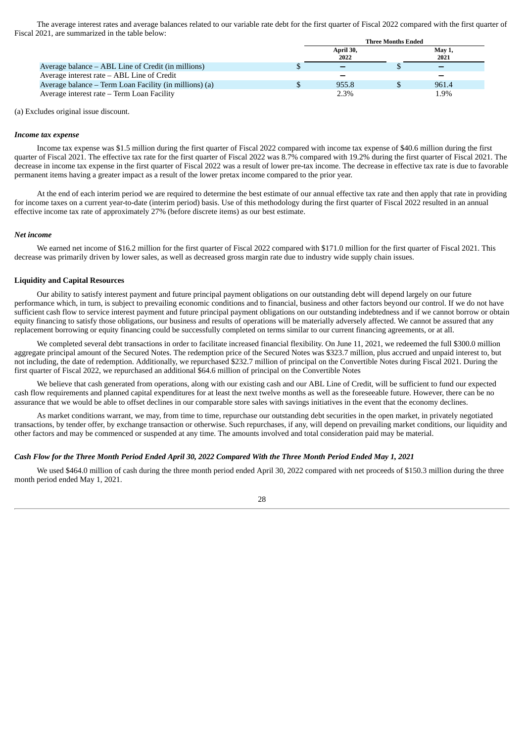The average interest rates and average balances related to our variable rate debt for the first quarter of Fiscal 2022 compared with the first quarter of Fiscal 2021, are summarized in the table below:

|                                                        | <b>Three Months Ended</b> |  |           |  |  |
|--------------------------------------------------------|---------------------------|--|-----------|--|--|
|                                                        | April 30,                 |  | $M$ ay 1, |  |  |
|                                                        | 2022                      |  | 2021      |  |  |
| Average balance – ABL Line of Credit (in millions)     |                           |  |           |  |  |
| Average interest rate – ABL Line of Credit             |                           |  |           |  |  |
| Average balance – Term Loan Facility (in millions) (a) | 955.8                     |  | 961.4     |  |  |
| Average interest rate – Term Loan Facility             | 2.3%                      |  | 1.9%      |  |  |

(a) Excludes original issue discount.

#### *Income tax expense*

Income tax expense was \$1.5 million during the first quarter of Fiscal 2022 compared with income tax expense of \$40.6 million during the first quarter of Fiscal 2021. The effective tax rate for the first quarter of Fiscal 2022 was 8.7% compared with 19.2% during the first quarter of Fiscal 2021. The decrease in income tax expense in the first quarter of Fiscal 2022 was a result of lower pre-tax income. The decrease in effective tax rate is due to favorable permanent items having a greater impact as a result of the lower pretax income compared to the prior year.

At the end of each interim period we are required to determine the best estimate of our annual effective tax rate and then apply that rate in providing for income taxes on a current year-to-date (interim period) basis. Use of this methodology during the first quarter of Fiscal 2022 resulted in an annual effective income tax rate of approximately 27% (before discrete items) as our best estimate.

#### *Net income*

We earned net income of \$16.2 million for the first quarter of Fiscal 2022 compared with \$171.0 million for the first quarter of Fiscal 2021. This decrease was primarily driven by lower sales, as well as decreased gross margin rate due to industry wide supply chain issues.

## **Liquidity and Capital Resources**

Our ability to satisfy interest payment and future principal payment obligations on our outstanding debt will depend largely on our future performance which, in turn, is subject to prevailing economic conditions and to financial, business and other factors beyond our control. If we do not have sufficient cash flow to service interest payment and future principal payment obligations on our outstanding indebtedness and if we cannot borrow or obtain equity financing to satisfy those obligations, our business and results of operations will be materially adversely affected. We cannot be assured that any replacement borrowing or equity financing could be successfully completed on terms similar to our current financing agreements, or at all.

We completed several debt transactions in order to facilitate increased financial flexibility. On June 11, 2021, we redeemed the full \$300.0 million aggregate principal amount of the Secured Notes. The redemption price of the Secured Notes was \$323.7 million, plus accrued and unpaid interest to, but not including, the date of redemption. Additionally, we repurchased \$232.7 million of principal on the Convertible Notes during Fiscal 2021. During the first quarter of Fiscal 2022, we repurchased an additional \$64.6 million of principal on the Convertible Notes

We believe that cash generated from operations, along with our existing cash and our ABL Line of Credit, will be sufficient to fund our expected cash flow requirements and planned capital expenditures for at least the next twelve months as well as the foreseeable future. However, there can be no assurance that we would be able to offset declines in our comparable store sales with savings initiatives in the event that the economy declines.

As market conditions warrant, we may, from time to time, repurchase our outstanding debt securities in the open market, in privately negotiated transactions, by tender offer, by exchange transaction or otherwise. Such repurchases, if any, will depend on prevailing market conditions, our liquidity and other factors and may be commenced or suspended at any time. The amounts involved and total consideration paid may be material.

## Cash Flow for the Three Month Period Ended April 30, 2022 Compared With the Three Month Period Ended May 1, 2021

We used \$464.0 million of cash during the three month period ended April 30, 2022 compared with net proceeds of \$150.3 million during the three month period ended May 1, 2021.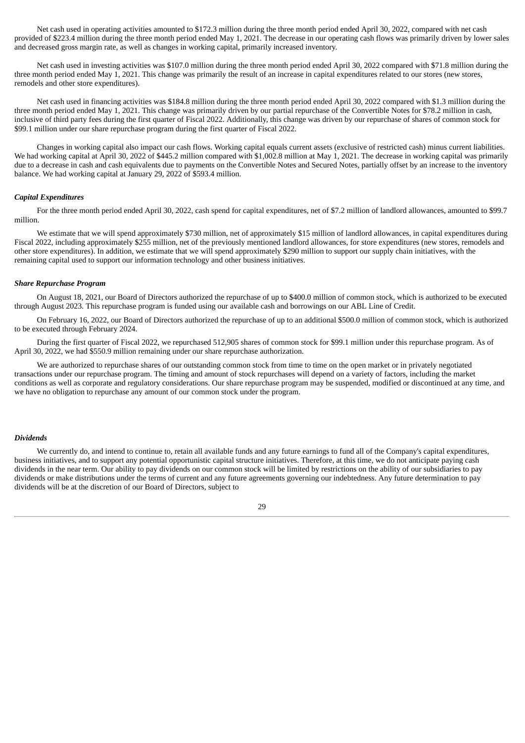Net cash used in operating activities amounted to \$172.3 million during the three month period ended April 30, 2022, compared with net cash provided of \$223.4 million during the three month period ended May 1, 2021. The decrease in our operating cash flows was primarily driven by lower sales and decreased gross margin rate, as well as changes in working capital, primarily increased inventory.

Net cash used in investing activities was \$107.0 million during the three month period ended April 30, 2022 compared with \$71.8 million during the three month period ended May 1, 2021. This change was primarily the result of an increase in capital expenditures related to our stores (new stores, remodels and other store expenditures).

Net cash used in financing activities was \$184.8 million during the three month period ended April 30, 2022 compared with \$1.3 million during the three month period ended May 1, 2021. This change was primarily driven by our partial repurchase of the Convertible Notes for \$78.2 million in cash, inclusive of third party fees during the first quarter of Fiscal 2022. Additionally, this change was driven by our repurchase of shares of common stock for \$99.1 million under our share repurchase program during the first quarter of Fiscal 2022.

Changes in working capital also impact our cash flows. Working capital equals current assets (exclusive of restricted cash) minus current liabilities. We had working capital at April 30, 2022 of \$445.2 million compared with \$1,002.8 million at May 1, 2021. The decrease in working capital was primarily due to a decrease in cash and cash equivalents due to payments on the Convertible Notes and Secured Notes, partially offset by an increase to the inventory balance. We had working capital at January 29, 2022 of \$593.4 million.

#### *Capital Expenditures*

For the three month period ended April 30, 2022, cash spend for capital expenditures, net of \$7.2 million of landlord allowances, amounted to \$99.7 million.

We estimate that we will spend approximately \$730 million, net of approximately \$15 million of landlord allowances, in capital expenditures during Fiscal 2022, including approximately \$255 million, net of the previously mentioned landlord allowances, for store expenditures (new stores, remodels and other store expenditures). In addition, we estimate that we will spend approximately \$290 million to support our supply chain initiatives, with the remaining capital used to support our information technology and other business initiatives.

#### *Share Repurchase Program*

On August 18, 2021, our Board of Directors authorized the repurchase of up to \$400.0 million of common stock, which is authorized to be executed through August 2023. This repurchase program is funded using our available cash and borrowings on our ABL Line of Credit.

On February 16, 2022, our Board of Directors authorized the repurchase of up to an additional \$500.0 million of common stock, which is authorized to be executed through February 2024.

During the first quarter of Fiscal 2022, we repurchased 512,905 shares of common stock for \$99.1 million under this repurchase program. As of April 30, 2022, we had \$550.9 million remaining under our share repurchase authorization.

We are authorized to repurchase shares of our outstanding common stock from time to time on the open market or in privately negotiated transactions under our repurchase program. The timing and amount of stock repurchases will depend on a variety of factors, including the market conditions as well as corporate and regulatory considerations. Our share repurchase program may be suspended, modified or discontinued at any time, and we have no obligation to repurchase any amount of our common stock under the program.

#### *Dividends*

We currently do, and intend to continue to, retain all available funds and any future earnings to fund all of the Company's capital expenditures, business initiatives, and to support any potential opportunistic capital structure initiatives. Therefore, at this time, we do not anticipate paying cash dividends in the near term. Our ability to pay dividends on our common stock will be limited by restrictions on the ability of our subsidiaries to pay dividends or make distributions under the terms of current and any future agreements governing our indebtedness. Any future determination to pay dividends will be at the discretion of our Board of Directors, subject to

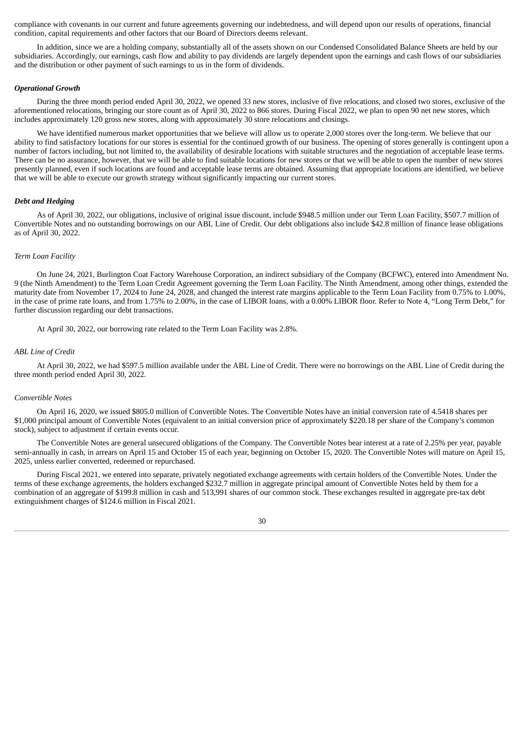compliance with covenants in our current and future agreements governing our indebtedness, and will depend upon our results of operations, financial condition, capital requirements and other factors that our Board of Directors deems relevant.

In addition, since we are a holding company, substantially all of the assets shown on our Condensed Consolidated Balance Sheets are held by our subsidiaries. Accordingly, our earnings, cash flow and ability to pay dividends are largely dependent upon the earnings and cash flows of our subsidiaries and the distribution or other payment of such earnings to us in the form of dividends.

#### *Operational Growth*

During the three month period ended April 30, 2022, we opened 33 new stores, inclusive of five relocations, and closed two stores, exclusive of the aforementioned relocations, bringing our store count as of April 30, 2022 to 866 stores. During Fiscal 2022, we plan to open 90 net new stores, which includes approximately 120 gross new stores, along with approximately 30 store relocations and closings.

We have identified numerous market opportunities that we believe will allow us to operate 2,000 stores over the long-term. We believe that our ability to find satisfactory locations for our stores is essential for the continued growth of our business. The opening of stores generally is contingent upon a number of factors including, but not limited to, the availability of desirable locations with suitable structures and the negotiation of acceptable lease terms. There can be no assurance, however, that we will be able to find suitable locations for new stores or that we will be able to open the number of new stores presently planned, even if such locations are found and acceptable lease terms are obtained. Assuming that appropriate locations are identified, we believe that we will be able to execute our growth strategy without significantly impacting our current stores.

#### *Debt and Hedging*

As of April 30, 2022, our obligations, inclusive of original issue discount, include \$948.5 million under our Term Loan Facility, \$507.7 million of Convertible Notes and no outstanding borrowings on our ABL Line of Credit. Our debt obligations also include \$42.8 million of finance lease obligations as of April 30, 2022.

#### *Term Loan Facility*

On June 24, 2021, Burlington Coat Factory Warehouse Corporation, an indirect subsidiary of the Company (BCFWC), entered into Amendment No. 9 (the Ninth Amendment) to the Term Loan Credit Agreement governing the Term Loan Facility. The Ninth Amendment, among other things, extended the maturity date from November 17, 2024 to June 24, 2028, and changed the interest rate margins applicable to the Term Loan Facility from 0.75% to 1.00%, in the case of prime rate loans, and from 1.75% to 2.00%, in the case of LIBOR loans, with a 0.00% LIBOR floor. Refer to Note 4, "Long Term Debt," for further discussion regarding our debt transactions.

At April 30, 2022, our borrowing rate related to the Term Loan Facility was 2.8%.

## *ABL Line of Credit*

At April 30, 2022, we had \$597.5 million available under the ABL Line of Credit. There were no borrowings on the ABL Line of Credit during the three month period ended April 30, 2022.

#### *Convertible Notes*

On April 16, 2020, we issued \$805.0 million of Convertible Notes. The Convertible Notes have an initial conversion rate of 4.5418 shares per \$1,000 principal amount of Convertible Notes (equivalent to an initial conversion price of approximately \$220.18 per share of the Company's common stock), subject to adjustment if certain events occur.

The Convertible Notes are general unsecured obligations of the Company. The Convertible Notes bear interest at a rate of 2.25% per year, payable semi-annually in cash, in arrears on April 15 and October 15 of each year, beginning on October 15, 2020. The Convertible Notes will mature on April 15, 2025, unless earlier converted, redeemed or repurchased.

During Fiscal 2021, we entered into separate, privately negotiated exchange agreements with certain holders of the Convertible Notes. Under the terms of these exchange agreements, the holders exchanged \$232.7 million in aggregate principal amount of Convertible Notes held by them for a combination of an aggregate of \$199.8 million in cash and 513,991 shares of our common stock. These exchanges resulted in aggregate pre-tax debt extinguishment charges of \$124.6 million in Fiscal 2021.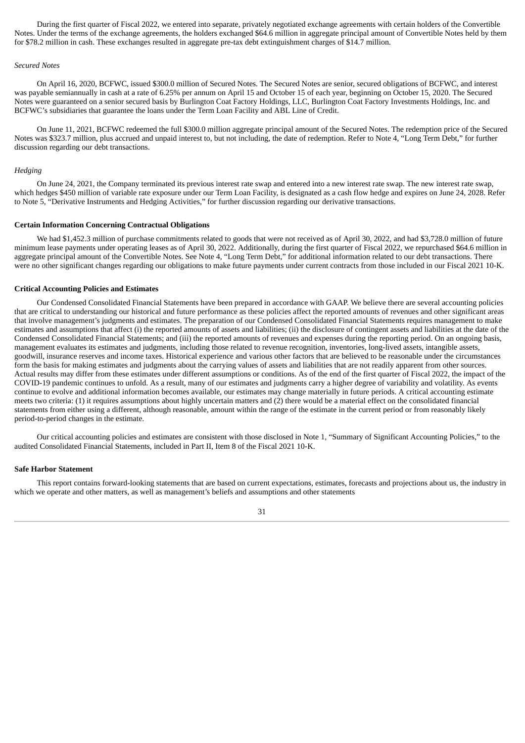During the first quarter of Fiscal 2022, we entered into separate, privately negotiated exchange agreements with certain holders of the Convertible Notes. Under the terms of the exchange agreements, the holders exchanged \$64.6 million in aggregate principal amount of Convertible Notes held by them for \$78.2 million in cash. These exchanges resulted in aggregate pre-tax debt extinguishment charges of \$14.7 million.

## *Secured Notes*

On April 16, 2020, BCFWC, issued \$300.0 million of Secured Notes. The Secured Notes are senior, secured obligations of BCFWC, and interest was payable semiannually in cash at a rate of 6.25% per annum on April 15 and October 15 of each year, beginning on October 15, 2020. The Secured Notes were guaranteed on a senior secured basis by Burlington Coat Factory Holdings, LLC, Burlington Coat Factory Investments Holdings, Inc. and BCFWC's subsidiaries that guarantee the loans under the Term Loan Facility and ABL Line of Credit.

On June 11, 2021, BCFWC redeemed the full \$300.0 million aggregate principal amount of the Secured Notes. The redemption price of the Secured Notes was \$323.7 million, plus accrued and unpaid interest to, but not including, the date of redemption. Refer to Note 4, "Long Term Debt," for further discussion regarding our debt transactions.

#### *Hedging*

On June 24, 2021, the Company terminated its previous interest rate swap and entered into a new interest rate swap. The new interest rate swap, which hedges \$450 million of variable rate exposure under our Term Loan Facility, is designated as a cash flow hedge and expires on June 24, 2028. Refer to Note 5, "Derivative Instruments and Hedging Activities," for further discussion regarding our derivative transactions.

#### **Certain Information Concerning Contractual Obligations**

We had \$1,452.3 million of purchase commitments related to goods that were not received as of April 30, 2022, and had \$3,728.0 million of future minimum lease payments under operating leases as of April 30, 2022. Additionally, during the first quarter of Fiscal 2022, we repurchased \$64.6 million in aggregate principal amount of the Convertible Notes. See Note 4, "Long Term Debt," for additional information related to our debt transactions. There were no other significant changes regarding our obligations to make future payments under current contracts from those included in our Fiscal 2021 10-K.

#### **Critical Accounting Policies and Estimates**

Our Condensed Consolidated Financial Statements have been prepared in accordance with GAAP. We believe there are several accounting policies that are critical to understanding our historical and future performance as these policies affect the reported amounts of revenues and other significant areas that involve management's judgments and estimates. The preparation of our Condensed Consolidated Financial Statements requires management to make estimates and assumptions that affect (i) the reported amounts of assets and liabilities; (ii) the disclosure of contingent assets and liabilities at the date of the Condensed Consolidated Financial Statements; and (iii) the reported amounts of revenues and expenses during the reporting period. On an ongoing basis, management evaluates its estimates and judgments, including those related to revenue recognition, inventories, long-lived assets, intangible assets, goodwill, insurance reserves and income taxes. Historical experience and various other factors that are believed to be reasonable under the circumstances form the basis for making estimates and judgments about the carrying values of assets and liabilities that are not readily apparent from other sources. Actual results may differ from these estimates under different assumptions or conditions. As of the end of the first quarter of Fiscal 2022, the impact of the COVID-19 pandemic continues to unfold. As a result, many of our estimates and judgments carry a higher degree of variability and volatility. As events continue to evolve and additional information becomes available, our estimates may change materially in future periods. A critical accounting estimate meets two criteria: (1) it requires assumptions about highly uncertain matters and (2) there would be a material effect on the consolidated financial statements from either using a different, although reasonable, amount within the range of the estimate in the current period or from reasonably likely period-to-period changes in the estimate.

Our critical accounting policies and estimates are consistent with those disclosed in Note 1, "Summary of Significant Accounting Policies," to the audited Consolidated Financial Statements, included in Part II, Item 8 of the Fiscal 2021 10-K.

## **Safe Harbor Statement**

This report contains forward-looking statements that are based on current expectations, estimates, forecasts and projections about us, the industry in which we operate and other matters, as well as management's beliefs and assumptions and other statements

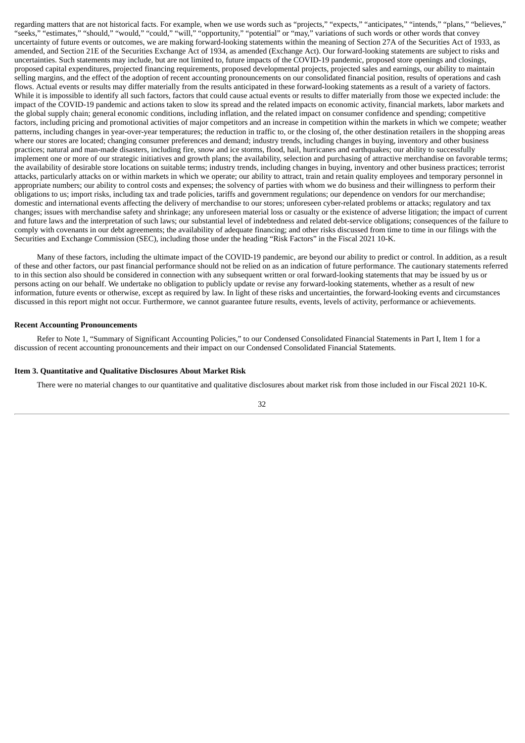regarding matters that are not historical facts. For example, when we use words such as "projects," "expects," "anticipates," "intends," "plans," "believes," "seeks," "estimates," "should," "would," "could," "will," "opportunity," "potential" or "may," variations of such words or other words that convey uncertainty of future events or outcomes, we are making forward-looking statements within the meaning of Section 27A of the Securities Act of 1933, as amended, and Section 21E of the Securities Exchange Act of 1934, as amended (Exchange Act). Our forward-looking statements are subject to risks and uncertainties. Such statements may include, but are not limited to, future impacts of the COVID-19 pandemic, proposed store openings and closings, proposed capital expenditures, projected financing requirements, proposed developmental projects, projected sales and earnings, our ability to maintain selling margins, and the effect of the adoption of recent accounting pronouncements on our consolidated financial position, results of operations and cash flows. Actual events or results may differ materially from the results anticipated in these forward-looking statements as a result of a variety of factors. While it is impossible to identify all such factors, factors that could cause actual events or results to differ materially from those we expected include: the impact of the COVID-19 pandemic and actions taken to slow its spread and the related impacts on economic activity, financial markets, labor markets and the global supply chain; general economic conditions, including inflation, and the related impact on consumer confidence and spending; competitive factors, including pricing and promotional activities of major competitors and an increase in competition within the markets in which we compete; weather patterns, including changes in year-over-year temperatures; the reduction in traffic to, or the closing of, the other destination retailers in the shopping areas where our stores are located; changing consumer preferences and demand; industry trends, including changes in buying, inventory and other business practices; natural and man-made disasters, including fire, snow and ice storms, flood, hail, hurricanes and earthquakes; our ability to successfully implement one or more of our strategic initiatives and growth plans; the availability, selection and purchasing of attractive merchandise on favorable terms; the availability of desirable store locations on suitable terms; industry trends, including changes in buying, inventory and other business practices; terrorist attacks, particularly attacks on or within markets in which we operate; our ability to attract, train and retain quality employees and temporary personnel in appropriate numbers; our ability to control costs and expenses; the solvency of parties with whom we do business and their willingness to perform their obligations to us; import risks, including tax and trade policies, tariffs and government regulations; our dependence on vendors for our merchandise; domestic and international events affecting the delivery of merchandise to our stores; unforeseen cyber-related problems or attacks; regulatory and tax changes; issues with merchandise safety and shrinkage; any unforeseen material loss or casualty or the existence of adverse litigation; the impact of current and future laws and the interpretation of such laws; our substantial level of indebtedness and related debt-service obligations; consequences of the failure to comply with covenants in our debt agreements; the availability of adequate financing; and other risks discussed from time to time in our filings with the Securities and Exchange Commission (SEC), including those under the heading "Risk Factors" in the Fiscal 2021 10-K.

Many of these factors, including the ultimate impact of the COVID-19 pandemic, are beyond our ability to predict or control. In addition, as a result of these and other factors, our past financial performance should not be relied on as an indication of future performance. The cautionary statements referred to in this section also should be considered in connection with any subsequent written or oral forward-looking statements that may be issued by us or persons acting on our behalf. We undertake no obligation to publicly update or revise any forward-looking statements, whether as a result of new information, future events or otherwise, except as required by law. In light of these risks and uncertainties, the forward-looking events and circumstances discussed in this report might not occur. Furthermore, we cannot guarantee future results, events, levels of activity, performance or achievements.

#### **Recent Accounting Pronouncements**

Refer to Note 1, "Summary of Significant Accounting Policies," to our Condensed Consolidated Financial Statements in Part I, Item 1 for a discussion of recent accounting pronouncements and their impact on our Condensed Consolidated Financial Statements.

## <span id="page-31-0"></span>**Item 3. Quantitative and Qualitative Disclosures About Market Risk**

There were no material changes to our quantitative and qualitative disclosures about market risk from those included in our Fiscal 2021 10-K.

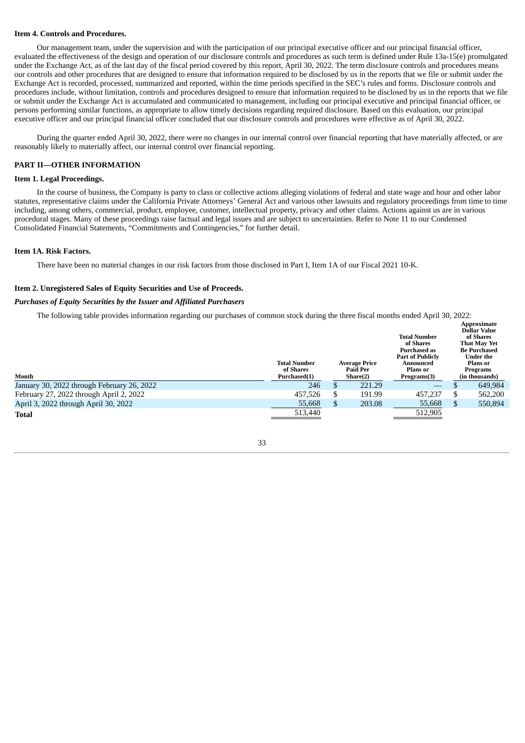#### <span id="page-32-0"></span>**Item 4. Controls and Procedures.**

Our management team, under the supervision and with the participation of our principal executive officer and our principal financial officer, evaluated the effectiveness of the design and operation of our disclosure controls and procedures as such term is defined under Rule 13a-15(e) promulgated under the Exchange Act, as of the last day of the fiscal period covered by this report, April 30, 2022. The term disclosure controls and procedures means our controls and other procedures that are designed to ensure that information required to be disclosed by us in the reports that we file or submit under the Exchange Act is recorded, processed, summarized and reported, within the time periods specified in the SEC's rules and forms. Disclosure controls and procedures include, without limitation, controls and procedures designed to ensure that information required to be disclosed by us in the reports that we file or submit under the Exchange Act is accumulated and communicated to management, including our principal executive and principal financial officer, or persons performing similar functions, as appropriate to allow timely decisions regarding required disclosure. Based on this evaluation, our principal executive officer and our principal financial officer concluded that our disclosure controls and procedures were effective as of April 30, 2022.

During the quarter ended April 30, 2022, there were no changes in our internal control over financial reporting that have materially affected, or are reasonably likely to materially affect, our internal control over financial reporting.

#### <span id="page-32-1"></span>**PART II—OTHER INFORMATION**

## <span id="page-32-2"></span>**Item 1. Legal Proceedings.**

In the course of business, the Company is party to class or collective actions alleging violations of federal and state wage and hour and other labor statutes, representative claims under the California Private Attorneys' General Act and various other lawsuits and regulatory proceedings from time to time including, among others, commercial, product, employee, customer, intellectual property, privacy and other claims. Actions against us are in various procedural stages. Many of these proceedings raise factual and legal issues and are subject to uncertainties. Refer to Note 11 to our Condensed Consolidated Financial Statements, "Commitments and Contingencies," for further detail.

#### <span id="page-32-3"></span>**Item 1A. Risk Factors.**

There have been no material changes in our risk factors from those disclosed in Part I, Item 1A of our Fiscal 2021 10-K.

#### <span id="page-32-4"></span>**Item 2. Unregistered Sales of Equity Securities and Use of Proceeds.**

## *Purchases of Equity Securities by the Issuer and Affiliated Purchasers*

The following table provides information regarding our purchases of common stock during the three fiscal months ended April 30, 2022:

| <b>Total Number</b><br>of Shares<br>Purchased(1) |   | Paid Per<br>Share(2) | <b>Total Number</b><br>of Shares<br>Purchased as<br><b>Part of Publicly</b><br>Announced<br><b>Plans</b> or<br>Programs(3) | Approximate<br><b>Dollar Value</b><br>of Shares<br><b>That May Yet</b><br><b>Be Purchased</b><br>Under the<br>Plans or<br>Programs<br>(in thousands) |
|--------------------------------------------------|---|----------------------|----------------------------------------------------------------------------------------------------------------------------|------------------------------------------------------------------------------------------------------------------------------------------------------|
| 246                                              |   | 221.29               |                                                                                                                            | 649,984                                                                                                                                              |
| 457.526                                          | Ъ | 191.99               | 457,237                                                                                                                    | 562,200                                                                                                                                              |
| 55,668                                           | S | 203.08               | 55,668                                                                                                                     | 550,894                                                                                                                                              |
| 513,440                                          |   |                      | 512,905                                                                                                                    |                                                                                                                                                      |
|                                                  |   |                      | <b>Average Price</b>                                                                                                       |                                                                                                                                                      |

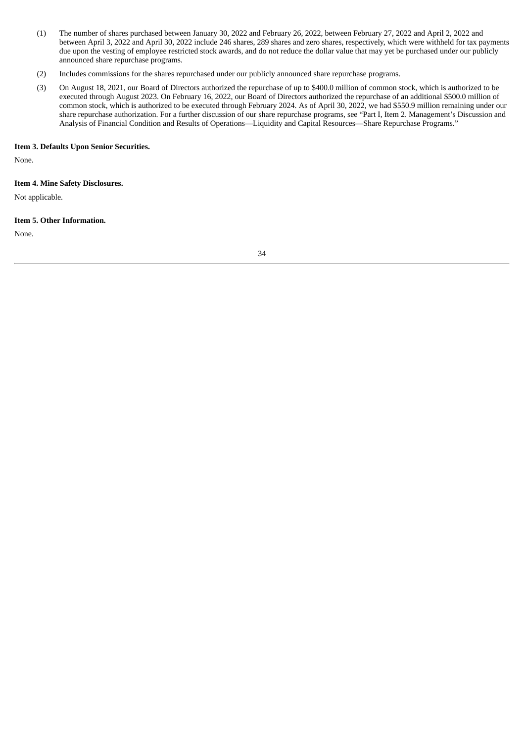- (1) The number of shares purchased between January 30, 2022 and February 26, 2022, between February 27, 2022 and April 2, 2022 and between April 3, 2022 and April 30, 2022 include 246 shares, 289 shares and zero shares, respectively, which were withheld for tax payments due upon the vesting of employee restricted stock awards, and do not reduce the dollar value that may yet be purchased under our publicly announced share repurchase programs.
- (2) Includes commissions for the shares repurchased under our publicly announced share repurchase programs.
- (3) On August 18, 2021, our Board of Directors authorized the repurchase of up to \$400.0 million of common stock, which is authorized to be executed through August 2023. On February 16, 2022, our Board of Directors authorized the repurchase of an additional \$500.0 million of common stock, which is authorized to be executed through February 2024. As of April 30, 2022, we had \$550.9 million remaining under our share repurchase authorization. For a further discussion of our share repurchase programs, see "Part I, Item 2. Management's Discussion and Analysis of Financial Condition and Results of Operations—Liquidity and Capital Resources—Share Repurchase Programs."

## <span id="page-33-0"></span>**Item 3. Defaults Upon Senior Securities.**

None.

## <span id="page-33-1"></span>**Item 4. Mine Safety Disclosures.**

Not applicable.

## <span id="page-33-2"></span>**Item 5. Other Information.**

None.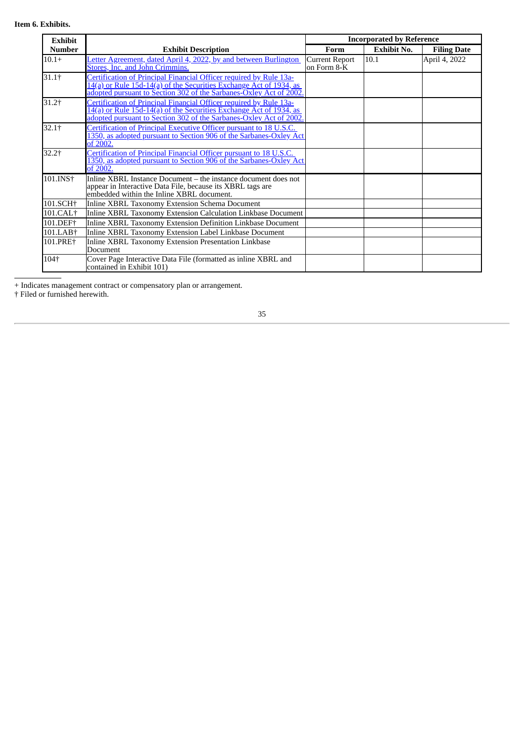<span id="page-34-0"></span>

| <b>Exhibit</b>       |                                                                                                                                                                                                                       | <b>Incorporated by Reference</b>     |                    |                    |  |  |  |
|----------------------|-----------------------------------------------------------------------------------------------------------------------------------------------------------------------------------------------------------------------|--------------------------------------|--------------------|--------------------|--|--|--|
| <b>Number</b>        | <b>Exhibit Description</b>                                                                                                                                                                                            | Form                                 | <b>Exhibit No.</b> | <b>Filing Date</b> |  |  |  |
| $10.1+$              | Letter Agreement, dated April 4, 2022, by and between Burlington<br>Stores, Inc. and John Crimmins.                                                                                                                   | <b>Current Report</b><br>on Form 8-K | 10.1               | April 4, 2022      |  |  |  |
| 31.1†                | Certification of Principal Financial Officer required by Rule 13a-<br><u>14(a) or Rule 15d-14(a) of the Securities Exchange Act of 1934, as</u><br>adopted pursuant to Section 302 of the Sarbanes-Oxley Act of 2002. |                                      |                    |                    |  |  |  |
| $31.2+$              | Certification of Principal Financial Officer required by Rule 13a-<br>$14(a)$ or Rule 15d-14 $(a)$ of the Securities Exchange Act of 1934, as<br>adopted pursuant to Section 302 of the Sarbanes-Oxley Act of 2002.   |                                      |                    |                    |  |  |  |
| $32.1+$              | Certification of Principal Executive Officer pursuant to 18 U.S.C.<br>1350, as adopted pursuant to Section 906 of the Sarbanes-Oxley Act<br>of 2002.                                                                  |                                      |                    |                    |  |  |  |
| 32.2†                | Certification of Principal Financial Officer pursuant to 18 U.S.C.<br>1350, as adopted pursuant to Section 906 of the Sarbanes-Oxley Act<br>of 2002.                                                                  |                                      |                    |                    |  |  |  |
| 101.INS <sup>+</sup> | Inline XBRL Instance Document – the instance document does not<br>appear in Interactive Data File, because its XBRL tags are<br>embedded within the Inline XBRL document.                                             |                                      |                    |                    |  |  |  |
| 101.SCH <sup>+</sup> | Inline XBRL Taxonomy Extension Schema Document                                                                                                                                                                        |                                      |                    |                    |  |  |  |
| 101.CAL+             | Inline XBRL Taxonomy Extension Calculation Linkbase Document                                                                                                                                                          |                                      |                    |                    |  |  |  |
| 101.DEF+             | Inline XBRL Taxonomy Extension Definition Linkbase Document                                                                                                                                                           |                                      |                    |                    |  |  |  |
| 101.LAB+             | Inline XBRL Taxonomy Extension Label Linkbase Document                                                                                                                                                                |                                      |                    |                    |  |  |  |
| 101.PRE+             | Inline XBRL Taxonomy Extension Presentation Linkbase<br>Document                                                                                                                                                      |                                      |                    |                    |  |  |  |
| 104†                 | Cover Page Interactive Data File (formatted as inline XBRL and<br>contained in Exhibit 101)                                                                                                                           |                                      |                    |                    |  |  |  |

+ Indicates management contract or compensatory plan or arrangement.

† Filed or furnished herewith.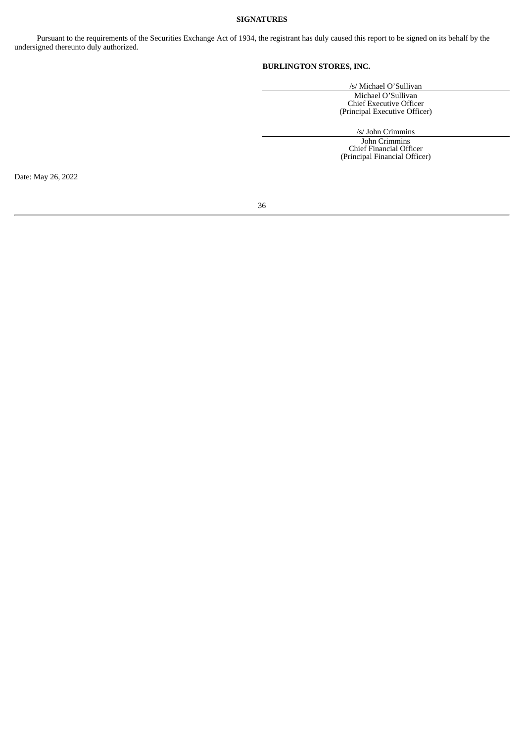## **SIGNATURES**

<span id="page-35-0"></span>Pursuant to the requirements of the Securities Exchange Act of 1934, the registrant has duly caused this report to be signed on its behalf by the undersigned thereunto duly authorized.

## **BURLINGTON STORES, INC.**

/s/ Michael O'Sullivan Michael O'Sullivan Chief Executive Officer (Principal Executive Officer)

/s/ John Crimmins John Crimmins Chief Financial Officer (Principal Financial Officer)

Date: May 26, 2022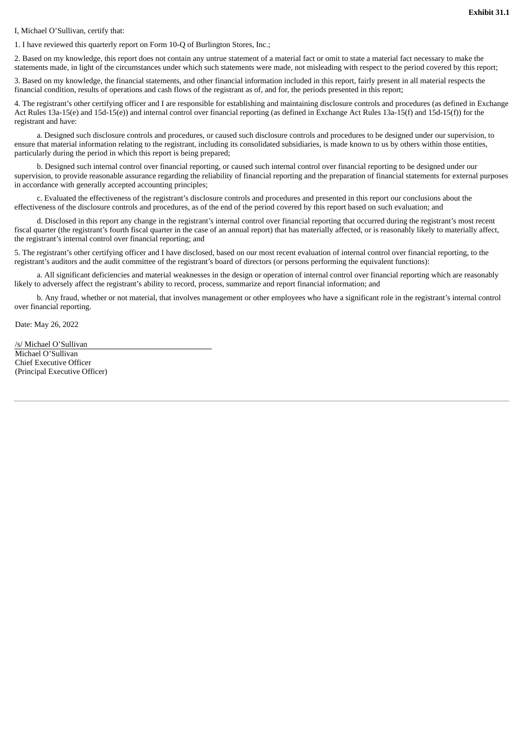**Exhibit 31.1**

<span id="page-36-0"></span>I, Michael O'Sullivan, certify that:

1. I have reviewed this quarterly report on Form 10-Q of Burlington Stores, Inc.;

2. Based on my knowledge, this report does not contain any untrue statement of a material fact or omit to state a material fact necessary to make the statements made, in light of the circumstances under which such statements were made, not misleading with respect to the period covered by this report;

3. Based on my knowledge, the financial statements, and other financial information included in this report, fairly present in all material respects the financial condition, results of operations and cash flows of the registrant as of, and for, the periods presented in this report;

4. The registrant's other certifying officer and I are responsible for establishing and maintaining disclosure controls and procedures (as defined in Exchange Act Rules 13a-15(e) and 15d-15(e)) and internal control over financial reporting (as defined in Exchange Act Rules 13a-15(f) and 15d-15(f)) for the registrant and have:

a. Designed such disclosure controls and procedures, or caused such disclosure controls and procedures to be designed under our supervision, to ensure that material information relating to the registrant, including its consolidated subsidiaries, is made known to us by others within those entities, particularly during the period in which this report is being prepared;

b. Designed such internal control over financial reporting, or caused such internal control over financial reporting to be designed under our supervision, to provide reasonable assurance regarding the reliability of financial reporting and the preparation of financial statements for external purposes in accordance with generally accepted accounting principles;

c. Evaluated the effectiveness of the registrant's disclosure controls and procedures and presented in this report our conclusions about the effectiveness of the disclosure controls and procedures, as of the end of the period covered by this report based on such evaluation; and

d. Disclosed in this report any change in the registrant's internal control over financial reporting that occurred during the registrant's most recent fiscal quarter (the registrant's fourth fiscal quarter in the case of an annual report) that has materially affected, or is reasonably likely to materially affect, the registrant's internal control over financial reporting; and

5. The registrant's other certifying officer and I have disclosed, based on our most recent evaluation of internal control over financial reporting, to the registrant's auditors and the audit committee of the registrant's board of directors (or persons performing the equivalent functions):

a. All significant deficiencies and material weaknesses in the design or operation of internal control over financial reporting which are reasonably likely to adversely affect the registrant's ability to record, process, summarize and report financial information; and

b. Any fraud, whether or not material, that involves management or other employees who have a significant role in the registrant's internal control over financial reporting.

Date: May 26, 2022

/s/ Michael O'Sullivan Michael O'Sullivan Chief Executive Officer (Principal Executive Officer)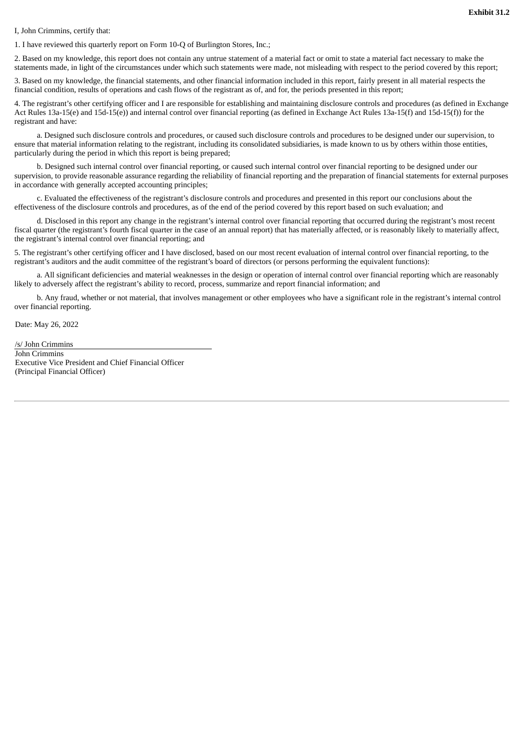**Exhibit 31.2**

<span id="page-37-0"></span>I, John Crimmins, certify that:

1. I have reviewed this quarterly report on Form 10-Q of Burlington Stores, Inc.;

2. Based on my knowledge, this report does not contain any untrue statement of a material fact or omit to state a material fact necessary to make the statements made, in light of the circumstances under which such statements were made, not misleading with respect to the period covered by this report;

3. Based on my knowledge, the financial statements, and other financial information included in this report, fairly present in all material respects the financial condition, results of operations and cash flows of the registrant as of, and for, the periods presented in this report;

4. The registrant's other certifying officer and I are responsible for establishing and maintaining disclosure controls and procedures (as defined in Exchange Act Rules 13a-15(e) and 15d-15(e)) and internal control over financial reporting (as defined in Exchange Act Rules 13a-15(f) and 15d-15(f)) for the registrant and have:

a. Designed such disclosure controls and procedures, or caused such disclosure controls and procedures to be designed under our supervision, to ensure that material information relating to the registrant, including its consolidated subsidiaries, is made known to us by others within those entities, particularly during the period in which this report is being prepared;

b. Designed such internal control over financial reporting, or caused such internal control over financial reporting to be designed under our supervision, to provide reasonable assurance regarding the reliability of financial reporting and the preparation of financial statements for external purposes in accordance with generally accepted accounting principles;

c. Evaluated the effectiveness of the registrant's disclosure controls and procedures and presented in this report our conclusions about the effectiveness of the disclosure controls and procedures, as of the end of the period covered by this report based on such evaluation; and

d. Disclosed in this report any change in the registrant's internal control over financial reporting that occurred during the registrant's most recent fiscal quarter (the registrant's fourth fiscal quarter in the case of an annual report) that has materially affected, or is reasonably likely to materially affect, the registrant's internal control over financial reporting; and

5. The registrant's other certifying officer and I have disclosed, based on our most recent evaluation of internal control over financial reporting, to the registrant's auditors and the audit committee of the registrant's board of directors (or persons performing the equivalent functions):

a. All significant deficiencies and material weaknesses in the design or operation of internal control over financial reporting which are reasonably likely to adversely affect the registrant's ability to record, process, summarize and report financial information; and

b. Any fraud, whether or not material, that involves management or other employees who have a significant role in the registrant's internal control over financial reporting.

Date: May 26, 2022

/s/ John Crimmins John Crimmins Executive Vice President and Chief Financial Officer (Principal Financial Officer)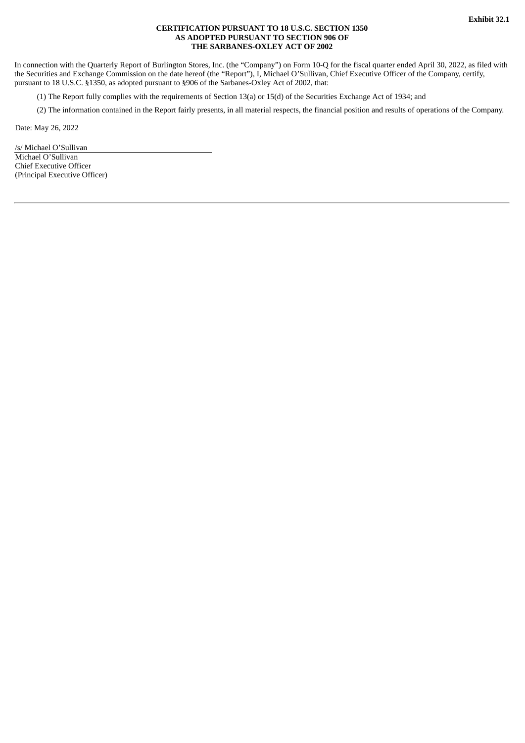## **CERTIFICATION PURSUANT TO 18 U.S.C. SECTION 1350 AS ADOPTED PURSUANT TO SECTION 906 OF THE SARBANES-OXLEY ACT OF 2002**

<span id="page-38-0"></span>In connection with the Quarterly Report of Burlington Stores, Inc. (the "Company") on Form 10-Q for the fiscal quarter ended April 30, 2022, as filed with the Securities and Exchange Commission on the date hereof (the "Report"), I, Michael O'Sullivan, Chief Executive Officer of the Company, certify, pursuant to 18 U.S.C. §1350, as adopted pursuant to §906 of the Sarbanes-Oxley Act of 2002, that:

(1) The Report fully complies with the requirements of Section 13(a) or 15(d) of the Securities Exchange Act of 1934; and

(2) The information contained in the Report fairly presents, in all material respects, the financial position and results of operations of the Company.

Date: May 26, 2022

/s/ Michael O'Sullivan

Michael O'Sullivan Chief Executive Officer (Principal Executive Officer)